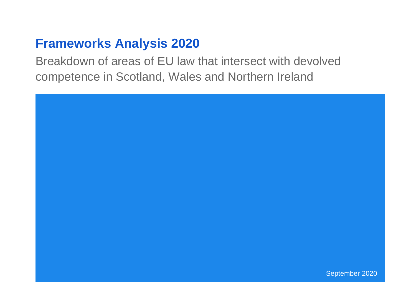# **Frameworks Analysis 2020**

Breakdown of areas of EU law that intersect with devolved competence in Scotland, Wales and Northern Ireland

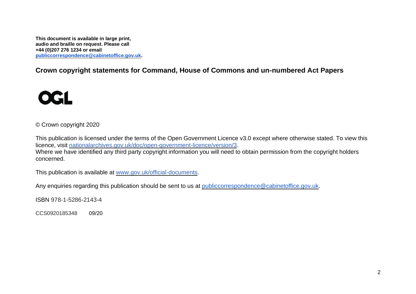**This document is available in large print, audio and braille on request. Please call +44 (0)207 276 1234 or email [publiccorrespondence@cabinetoffice.gov.uk.](mailto:publiccorrespondence@cabinetoffice.gov.uk)**

**Crown copyright statements for Command, House of Commons and un-numbered Act Papers**



© Crown copyright 2020

This publication is licensed under the terms of the Open Government Licence v3.0 except where otherwise stated. To view this licence, visit [nationalarchives.gov.uk/doc/open-government-licence/version/3.](http://www.nationalarchives.gov.uk/doc/open-government-licence/version/3) Where we have identified any third party copyright information you will need to obtain permission from the copyright holders concerned.

This publication is available at [www.gov.uk/official-documents.](https://www.gov.uk/government/publications)

Any enquiries regarding this publication should be sent to us at [publiccorrespondence@cabinetoffice.gov.uk.](mailto:publiccorrespondence@cabinetoffice.gov.uk)

ISBN 978-1-5286-2143-4

CCS0920185348 09/20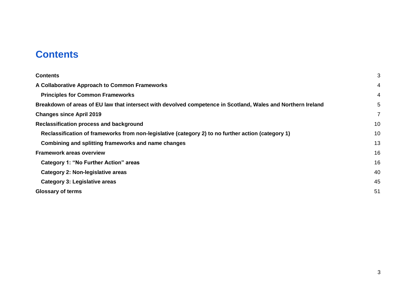## <span id="page-2-0"></span>**Contents**

| <b>Contents</b>                                                                                              | 3  |  |  |  |
|--------------------------------------------------------------------------------------------------------------|----|--|--|--|
| A Collaborative Approach to Common Frameworks                                                                | 4  |  |  |  |
| <b>Principles for Common Frameworks</b>                                                                      | 4  |  |  |  |
| Breakdown of areas of EU law that intersect with devolved competence in Scotland, Wales and Northern Ireland |    |  |  |  |
| <b>Changes since April 2019</b>                                                                              | 7  |  |  |  |
| Reclassification process and background                                                                      |    |  |  |  |
| Reclassification of frameworks from non-legislative (category 2) to no further action (category 1)           |    |  |  |  |
| Combining and splitting frameworks and name changes                                                          | 13 |  |  |  |
| <b>Framework areas overview</b>                                                                              | 16 |  |  |  |
| Category 1: "No Further Action" areas                                                                        | 16 |  |  |  |
| Category 2: Non-legislative areas                                                                            | 40 |  |  |  |
| Category 3: Legislative areas                                                                                | 45 |  |  |  |
| <b>Glossary of terms</b>                                                                                     |    |  |  |  |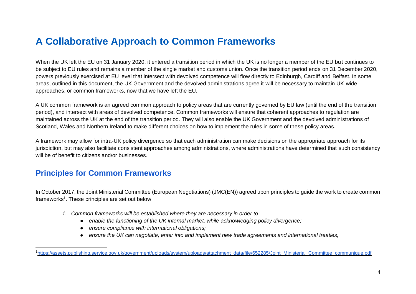## <span id="page-3-0"></span>**A Collaborative Approach to Common Frameworks**

When the UK left the EU on 31 January 2020, it entered a transition period in which the UK is no longer a member of the EU but continues to be subject to EU rules and remains a member of the single market and customs union. Once the transition period ends on 31 December 2020, powers previously exercised at EU level that intersect with devolved competence will flow directly to Edinburgh, Cardiff and Belfast. In some areas, outlined in this document, the UK Government and the devolved administrations agree it will be necessary to maintain UK-wide approaches, or common frameworks, now that we have left the EU.

A UK common framework is an agreed common approach to policy areas that are currently governed by EU law (until the end of the transition period), and intersect with areas of devolved competence. Common frameworks will ensure that coherent approaches to regulation are maintained across the UK at the end of the transition period. They will also enable the UK Government and the devolved administrations of Scotland, Wales and Northern Ireland to make different choices on how to implement the rules in some of these policy areas.

A framework may allow for intra-UK policy divergence so that each administration can make decisions on the appropriate approach for its jurisdiction, but may also facilitate consistent approaches among administrations, where administrations have determined that such consistency will be of benefit to citizens and/or businesses.

### <span id="page-3-1"></span>**Principles for Common Frameworks**

In October 2017, the Joint Ministerial Committee (European Negotiations) (JMC(EN)) agreed upon principles to guide the work to create common frameworks<sup>1</sup>. These principles are set out below:

- *1. Common frameworks will be established where they are necessary in order to:*
	- *enable the functioning of the UK internal market, while acknowledging policy divergence;*
	- ensure compliance with international obligations;
	- ensure the UK can negotiate, enter into and implement new trade agreements and international treaties;

<sup>1</sup>[https://assets.publishing.service.gov.uk/government/uploads/system/uploads/attachment\\_data/file/652285/Joint\\_Ministerial\\_Committee\\_communique.pdf](https://assets.publishing.service.gov.uk/government/uploads/system/uploads/attachment_data/file/652285/Joint_Ministerial_Committee_communique.pdf)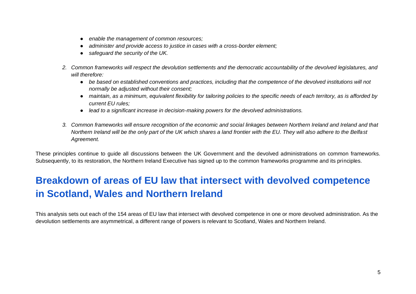- *enable the management of common resources;*
- administer and provide access to justice in cases with a cross-border element;
- *safeguard the security of the UK.*
- *2. Common frameworks will respect the devolution settlements and the democratic accountability of the devolved legislatures, and will therefore:*
	- *be based on established conventions and practices, including that the competence of the devolved institutions will not normally be adjusted without their consent;*
	- *maintain, as a minimum, equivalent flexibility for tailoring policies to the specific needs of each territory, as is afforded by current EU rules;*
	- *lead to a significant increase in decision-making powers for the devolved administrations.*
- *3. Common frameworks will ensure recognition of the economic and social linkages between Northern Ireland and Ireland and that Northern Ireland will be the only part of the UK which shares a land frontier with the EU. They will also adhere to the Belfast Agreement.*

These principles continue to guide all discussions between the UK Government and the devolved administrations on common frameworks. Subsequently, to its restoration, the Northern Ireland Executive has signed up to the common frameworks programme and its principles.

## <span id="page-4-0"></span>**Breakdown of areas of EU law that intersect with devolved competence in Scotland, Wales and Northern Ireland**

This analysis sets out each of the 154 areas of EU law that intersect with devolved competence in one or more devolved administration. As the devolution settlements are asymmetrical, a different range of powers is relevant to Scotland, Wales and Northern Ireland.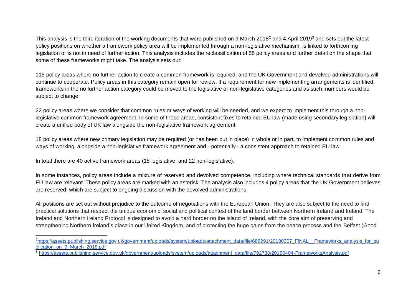This analysis is the third iteration of the working documents that were published on 9 March 2018<sup>2</sup> and 4 April 2019<sup>3</sup> and sets out the latest policy positions on whether a framework policy area will be implemented through a non-legislative mechanism, is linked to forthcoming legislation or is not in need of further action. This analysis includes the reclassification of 55 policy areas and further detail on the shape that some of these frameworks might take. The analysis sets out:

115 policy areas where no further action to create a common framework is required, and the UK Government and devolved administrations will continue to cooperate. Policy areas in this category remain open for review. If a requirement for new implementing arrangements is identified, frameworks in the no further action category could be moved to the legislative or non-legislative categories and as such, numbers would be subject to change.

22 policy areas where we consider that common rules or ways of working will be needed, and we expect to implement this through a nonlegislative common framework agreement. In some of these areas, consistent fixes to retained EU law (made using secondary legislation) will create a unified body of UK law alongside the non-legislative framework agreement.

18 policy areas where new primary legislation may be required (or has been put in place) in whole or in part, to implement common rules and ways of working, alongside a non-legislative framework agreement and - potentially - a consistent approach to retained EU law.

In total there are 40 active framework areas (18 legislative, and 22 non-legislative).

In some instances, policy areas include a mixture of reserved and devolved competence, including where technical standards that derive from EU law are relevant. These policy areas are marked with an asterisk. The analysis also includes 4 policy areas that the UK Government believes are reserved; which are subject to ongoing discussion with the devolved administrations.

All positions are set out without prejudice to the outcome of negotiations with the European Union. They are also subject to the need to find practical solutions that respect the unique economic, social and political context of the land border between Northern Ireland and Ireland. The Ireland and Northern Ireland Protocol is designed to avoid a hard border on the island of Ireland, with the core aim of preserving and strengthening Northern Ireland's place in our United Kingdom, and of protecting the huge gains from the peace process and the Belfast (Good

<sup>&</sup>lt;sup>2</sup>[https://assets.publishing.service.gov.uk/government/uploads/system/uploads/attachment\\_data/file/686991/20180307\\_FINAL\\_\\_Frameworks\\_analysis\\_for\\_pu](https://assets.publishing.service.gov.uk/government/uploads/system/uploads/attachment_data/file/686991/20180307_FINAL__Frameworks_analysis_for_publication_on_9_March_2018.pdf) [blication\\_on\\_9\\_March\\_2018.pdf](https://assets.publishing.service.gov.uk/government/uploads/system/uploads/attachment_data/file/686991/20180307_FINAL__Frameworks_analysis_for_publication_on_9_March_2018.pdf)

 $\frac{3}{3}$  [https://assets.publishing.service.gov.uk/government/uploads/system/uploads/attachment\\_data/file/792738/20190404-FrameworksAnalysis.pdf](https://assets.publishing.service.gov.uk/government/uploads/system/uploads/attachment_data/file/792738/20190404-FrameworksAnalysis.pdf)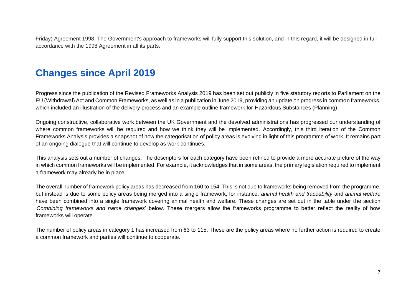Friday) Agreement 1998. The Government's approach to frameworks will fully support this solution, and in this regard, it will be designed in full accordance with the 1998 Agreement in all its parts.

## <span id="page-6-0"></span>**Changes since April 2019**

Progress since the publication of the Revised Frameworks Analysis 2019 has been set out publicly in five statutory reports to Parliament on the EU (Withdrawal) Act and Common Frameworks, as well as in a publication in June 2019, providing an update on progress in common frameworks, which included an illustration of the delivery process and an example outline framework for Hazardous Substances (Planning).

Ongoing constructive, collaborative work between the UK Government and the devolved administrations has progressed our understanding of where common frameworks will be required and how we think they will be implemented. Accordingly, this third iteration of the Common Frameworks Analysis provides a snapshot of how the categorisation of policy areas is evolving in light of this programme of work. It remains part of an ongoing dialogue that will continue to develop as work continues.

This analysis sets out a number of changes. The descriptors for each category have been refined to provide a more accurate picture of the way in which common frameworks will be implemented. For example, it acknowledges that in some areas, the primary legislation required to implement a framework may already be in place.

The overall number of framework policy areas has decreased from 160 to 154. This is not due to frameworks being removed from the programme, but instead is due to some policy areas being merged into a single framework, for instance, *animal health and traceability* and *animal welfare* have been combined into a single framework covering animal health and welfare. These changes are set out in the table under the section '*Combining frameworks and name changes*' below. These mergers allow the frameworks programme to better reflect the reality of how frameworks will operate.

The number of policy areas in category 1 has increased from 63 to 115. These are the policy areas where no further action is required to create a common framework and parties will continue to cooperate.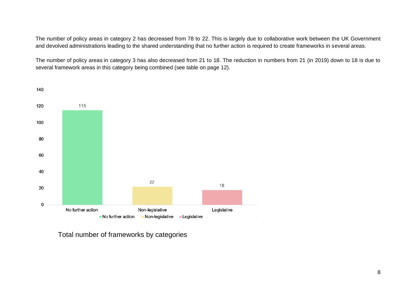The number of policy areas in category 2 has decreased from 78 to 22. This is largely due to collaborative work between the UK Government and devolved administrations leading to the shared understanding that no further action is required to create frameworks in several areas.

The number of policy areas in category 3 has also decreased from 21 to 18. The reduction in numbers from 21 (in 2019) down to 18 is due to several framework areas in this category being combined (see table on page 12).



Total number of frameworks by categories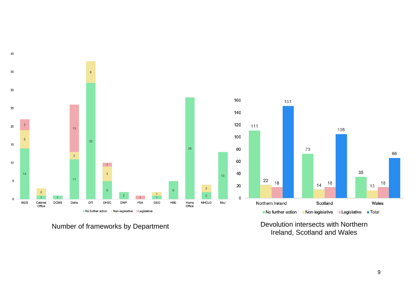

Number of frameworks by Department **Devolution intersects with Northern** Ireland, Scotland and Wales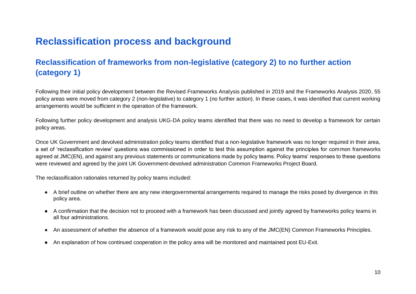## <span id="page-9-0"></span>**Reclassification process and background**

### <span id="page-9-1"></span>**Reclassification of frameworks from non-legislative (category 2) to no further action (category 1)**

Following their initial policy development between the Revised Frameworks Analysis published in 2019 and the Frameworks Analysis 2020, 55 policy areas were moved from category 2 (non-legislative) to category 1 (no further action). In these cases, it was identified that current working arrangements would be sufficient in the operation of the framework.

Following further policy development and analysis UKG-DA policy teams identified that there was no need to develop a framework for certain policy areas.

Once UK Government and devolved administration policy teams identified that a non-legislative framework was no longer required in their area, a set of 'reclassification review' questions was commissioned in order to test this assumption against the principles for common frameworks agreed at JMC(EN), and against any previous statements or communications made by policy teams. Policy teams' responses to these questions were reviewed and agreed by the joint UK Government-devolved administration Common Frameworks Project Board.

The reclassification rationales returned by policy teams included:

- A brief outline on whether there are any new intergovernmental arrangements required to manage the risks posed by divergence in this policy area.
- A confirmation that the decision not to proceed with a framework has been discussed and jointly agreed by frameworks policy teams in all four administrations.
- An assessment of whether the absence of a framework would pose any risk to any of the JMC(EN) Common Frameworks Principles.
- An explanation of how continued cooperation in the policy area will be monitored and maintained post EU-Exit.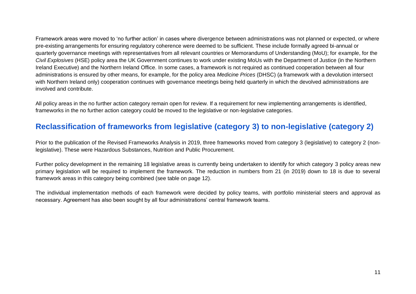Framework areas were moved to 'no further action' in cases where divergence between administrations was not planned or expected, or where pre-existing arrangements for ensuring regulatory coherence were deemed to be sufficient. These include formally agreed bi-annual or quarterly governance meetings with representatives from all relevant countries or Memorandums of Understanding (MoU); for example, for the *Civil Explosives* (HSE) policy area the UK Government continues to work under existing MoUs with the Department of Justice (in the Northern Ireland Executive) and the Northern Ireland Office. In some cases, a framework is not required as continued cooperation between all four administrations is ensured by other means, for example, for the policy area *Medicine Prices* (DHSC) (a framework with a devolution intersect with Northern Ireland only) cooperation continues with governance meetings being held quarterly in which the devolved administrations are involved and contribute.

All policy areas in the no further action category remain open for review. If a requirement for new implementing arrangements is identified, frameworks in the no further action category could be moved to the legislative or non-legislative categories.

### **Reclassification of frameworks from legislative (category 3) to non-legislative (category 2)**

Prior to the publication of the Revised Frameworks Analysis in 2019, three frameworks moved from category 3 (legislative) to category 2 (nonlegislative). These were Hazardous Substances, Nutrition and Public Procurement.

Further policy development in the remaining 18 legislative areas is currently being undertaken to identify for which category 3 policy areas new primary legislation will be required to implement the framework. The reduction in numbers from 21 (in 2019) down to 18 is due to several framework areas in this category being combined (see table on page 12).

The individual implementation methods of each framework were decided by policy teams, with portfolio ministerial steers and approval as necessary. Agreement has also been sought by all four administrations' central framework teams.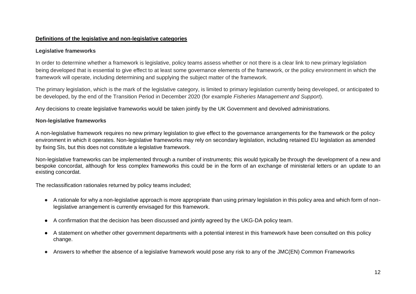#### **Definitions of the legislative and non-legislative categories**

#### **Legislative frameworks**

In order to determine whether a framework is legislative, policy teams assess whether or not there is a clear link to new primary legislation being developed that is essential to give effect to at least some governance elements of the framework, or the policy environment in which the framework will operate, including determining and supplying the subject matter of the framework.

The primary legislation, which is the mark of the legislative category, is limited to primary legislation currently being developed, or anticipated to be developed, by the end of the Transition Period in December 2020 (for example *Fisheries Management and Support*).

Any decisions to create legislative frameworks would be taken jointly by the UK Government and devolved administrations.

#### **Non-legislative frameworks**

A non-legislative framework requires no new primary legislation to give effect to the governance arrangements for the framework or the policy environment in which it operates. Non-legislative frameworks may rely on secondary legislation, including retained EU legislation as amended by fixing SIs, but this does not constitute a legislative framework.

Non-legislative frameworks can be implemented through a number of instruments; this would typically be through the development of a new and bespoke concordat, although for less complex frameworks this could be in the form of an exchange of ministerial letters or an update to an existing concordat.

The reclassification rationales returned by policy teams included;

- A rationale for why a non-legislative approach is more appropriate than using primary legislation in this policy area and which form of nonlegislative arrangement is currently envisaged for this framework.
- A confirmation that the decision has been discussed and jointly agreed by the UKG-DA policy team.
- A statement on whether other government departments with a potential interest in this framework have been consulted on this policy change.
- Answers to whether the absence of a legislative framework would pose any risk to any of the JMC(EN) Common Frameworks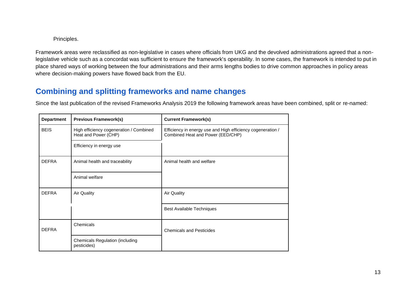#### Principles.

Framework areas were reclassified as non-legislative in cases where officials from UKG and the devolved administrations agreed that a nonlegislative vehicle such as a concordat was sufficient to ensure the framework's operability. In some cases, the framework is intended to put in place shared ways of working between the four administrations and their arms lengths bodies to drive common approaches in policy areas where decision-making powers have flowed back from the EU.

### <span id="page-12-0"></span>**Combining and splitting frameworks and name changes**

Since the last publication of the revised Frameworks Analysis 2019 the following framework areas have been combined, split or re-named:

| <b>Department</b> | <b>Previous Framework(s)</b>                                    | <b>Current Framework(s)</b>                                                                      |  |  |
|-------------------|-----------------------------------------------------------------|--------------------------------------------------------------------------------------------------|--|--|
| <b>BEIS</b>       | High efficiency cogeneration / Combined<br>Heat and Power (CHP) | Efficiency in energy use and High efficiency cogeneration /<br>Combined Heat and Power (EED/CHP) |  |  |
|                   | Efficiency in energy use                                        |                                                                                                  |  |  |
| <b>DEFRA</b>      | Animal health and traceability                                  | Animal health and welfare                                                                        |  |  |
|                   | Animal welfare                                                  |                                                                                                  |  |  |
| <b>DEFRA</b>      | <b>Air Quality</b>                                              | <b>Air Quality</b>                                                                               |  |  |
|                   |                                                                 | <b>Best Available Techniques</b>                                                                 |  |  |
| <b>DEFRA</b>      | Chemicals                                                       | <b>Chemicals and Pesticides</b>                                                                  |  |  |
|                   | <b>Chemicals Regulation (including</b><br>pesticides)           |                                                                                                  |  |  |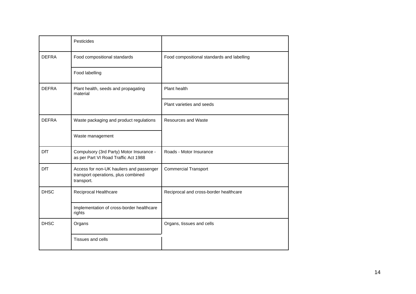|              | Pesticides                                                                                    |                                            |
|--------------|-----------------------------------------------------------------------------------------------|--------------------------------------------|
| <b>DEFRA</b> | Food compositional standards                                                                  | Food compositional standards and labelling |
|              | Food labelling                                                                                |                                            |
| <b>DEFRA</b> | Plant health, seeds and propagating<br>material                                               | Plant health                               |
|              |                                                                                               | Plant varieties and seeds                  |
| <b>DEFRA</b> | Waste packaging and product regulations                                                       | Resources and Waste                        |
|              | Waste management                                                                              |                                            |
| <b>DfT</b>   | Compulsory (3rd Party) Motor Insurance -<br>as per Part VI Road Traffic Act 1988              | Roads - Motor Insurance                    |
| <b>DfT</b>   | Access for non-UK hauliers and passenger<br>transport operations, plus combined<br>transport. | <b>Commercial Transport</b>                |
| <b>DHSC</b>  | Reciprocal Healthcare                                                                         | Reciprocal and cross-border healthcare     |
|              | Implementation of cross-border healthcare<br>rights                                           |                                            |
| <b>DHSC</b>  | Organs                                                                                        | Organs, tissues and cells                  |
|              | <b>Tissues and cells</b>                                                                      |                                            |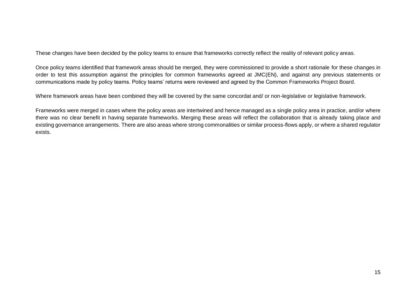These changes have been decided by the policy teams to ensure that frameworks correctly reflect the reality of relevant policy areas.

Once policy teams identified that framework areas should be merged, they were commissioned to provide a short rationale for these changes in order to test this assumption against the principles for common frameworks agreed at JMC(EN), and against any previous statements or communications made by policy teams. Policy teams' returns were reviewed and agreed by the Common Frameworks Project Board.

Where framework areas have been combined they will be covered by the same concordat and/ or non-legislative or legislative framework.

Frameworks were merged in cases where the policy areas are intertwined and hence managed as a single policy area in practice, and/or where there was no clear benefit in having separate frameworks. Merging these areas will reflect the collaboration that is already taking place and existing governance arrangements. There are also areas where strong commonalities or similar process-flows apply, or where a shared regulator exists.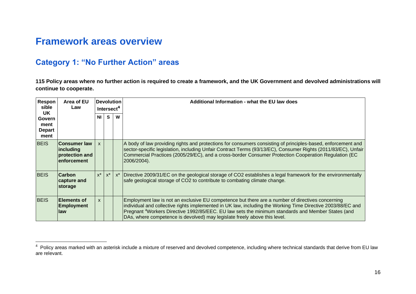## <span id="page-15-0"></span>**Framework areas overview**

### <span id="page-15-1"></span>**Category 1: "No Further Action" areas**

**115 Policy areas where no further action is required to create a framework, and the UK Government and devolved administrations will continue to cooperate.**

| Respon<br>sible                                       | Area of EU<br>Law                                                   |              | <b>Devolution</b><br>Intersect <sup>4</sup> |       | Additional Information - what the EU law does                                                                                                                                                                                                                                                                                                                                                                 |
|-------------------------------------------------------|---------------------------------------------------------------------|--------------|---------------------------------------------|-------|---------------------------------------------------------------------------------------------------------------------------------------------------------------------------------------------------------------------------------------------------------------------------------------------------------------------------------------------------------------------------------------------------------------|
| UK.<br><b>Govern</b><br>ment<br><b>Depart</b><br>ment |                                                                     | <b>NI</b>    | S.                                          | W     |                                                                                                                                                                                                                                                                                                                                                                                                               |
| <b>BEIS</b>                                           | <b>Consumer law</b><br> including<br>protection and<br>lenforcement | $\mathsf{x}$ |                                             |       | A body of law providing rights and protections for consumers consisting of principles-based, enforcement and<br>sector-specific legislation, including Unfair Contract Terms (93/13/EC), Consumer Rights (2011/83/EC), Unfair<br>Commercial Practices (2005/29/EC), and a cross-border Consumer Protection Cooperation Regulation (EC<br>2006/2004).                                                          |
| <b>BEIS</b>                                           | <b>Carbon</b><br>capture and<br>storage                             | $x^*$        | $x^*$                                       | $x^*$ | Directive 2009/31/EC on the geological storage of CO2 establishes a legal framework for the environmentally<br>safe geological storage of CO2 to contribute to combating climate change.                                                                                                                                                                                                                      |
| <b>BEIS</b>                                           | <b>Elements of</b><br><b>Employment</b><br>law                      | $\mathsf{x}$ |                                             |       | Employment law is not an exclusive EU competence but there are a number of directives concerning<br>individual and collective rights implemented in UK law, including the Working Time Directive 2003/88/EC and<br>Pregnant <sup>4</sup> Workers Directive 1992/85/EEC. EU law sets the minimum standards and Member States (and<br>DAs, where competence is devolved) may legislate freely above this level. |

<sup>&</sup>lt;sup>4</sup> Policy areas marked with an asterisk include a mixture of reserved and devolved competence, including where technical standards that derive from EU law are relevant.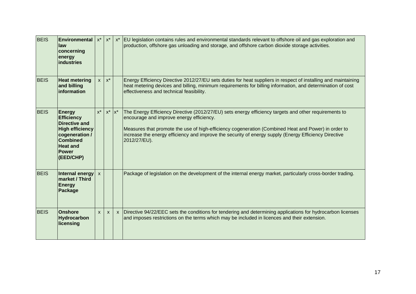| <b>BEIS</b> | Environmental<br>law<br>concerning<br>energy<br><b>industries</b>                                                                                                         | $x^*$        | $x^*$        | $x^*$ | EU legislation contains rules and environmental standards relevant to offshore oil and gas exploration and<br>production, offshore gas unloading and storage, and offshore carbon dioxide storage activities.                                                                                                                                                                     |
|-------------|---------------------------------------------------------------------------------------------------------------------------------------------------------------------------|--------------|--------------|-------|-----------------------------------------------------------------------------------------------------------------------------------------------------------------------------------------------------------------------------------------------------------------------------------------------------------------------------------------------------------------------------------|
| <b>BEIS</b> | <b>Heat metering</b><br>and billing<br>information                                                                                                                        | <b>X</b>     | $x^*$        |       | Energy Efficiency Directive 2012/27/EU sets duties for heat suppliers in respect of installing and maintaining<br>heat metering devices and billing, minimum requirements for billing information, and determination of cost<br>effectiveness and technical feasibility.                                                                                                          |
| <b>BEIS</b> | <b>Energy</b><br><b>Efficiency</b><br><b>Directive and</b><br><b>High efficiency</b><br>cogeneration /<br><b>Combined</b><br><b>Heat and</b><br><b>Power</b><br>(EED/CHP) | $x^*$        | $x^*$ $x^*$  |       | The Energy Efficiency Directive (2012/27/EU) sets energy efficiency targets and other requirements to<br>encourage and improve energy efficiency.<br>Measures that promote the use of high-efficiency cogeneration (Combined Heat and Power) in order to<br>increase the energy efficiency and improve the security of energy supply (Energy Efficiency Directive<br>2012/27/EU). |
| <b>BEIS</b> | Internal energy<br>market / Third<br><b>Energy</b><br><b>Package</b>                                                                                                      | $\mathsf{x}$ |              |       | Package of legislation on the development of the internal energy market, particularly cross-border trading.                                                                                                                                                                                                                                                                       |
| <b>BEIS</b> | <b>Onshore</b><br>Hydrocarbon<br>licensing                                                                                                                                | $\mathsf{x}$ | $\mathsf{x}$ |       | x   Directive 94/22/EEC sets the conditions for tendering and determining applications for hydrocarbon licenses<br>and imposes restrictions on the terms which may be included in licences and their extension.                                                                                                                                                                   |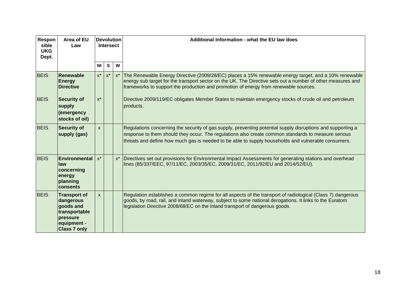| Respon<br>sible<br><b>UKG</b><br>Dept. | Area of EU<br>Law                                                                                                |                    | <b>Intersect</b>   | <b>Devolution</b> | Additional Information - what the EU law does                                                                                                                                                                                                                                                                             |
|----------------------------------------|------------------------------------------------------------------------------------------------------------------|--------------------|--------------------|-------------------|---------------------------------------------------------------------------------------------------------------------------------------------------------------------------------------------------------------------------------------------------------------------------------------------------------------------------|
|                                        |                                                                                                                  | N <sub>l</sub>     | $\mathbf{s}$       | W                 |                                                                                                                                                                                                                                                                                                                           |
| <b>BEIS</b>                            | Renewable<br><b>Energy</b><br><b>Directive</b>                                                                   | $\mathsf{X}^\star$ | $\mathsf{X}^\star$ |                   | x* The Renewable Energy Directive (2009/28/EC) places a 15% renewable energy target, and a 10% renewable<br>energy sub target for the transport sector on the UK. The Directive sets out a number of other measures and<br>frameworks to support the production and promotion of energy from renewable sources.           |
| <b>BEIS</b>                            | <b>Security of</b><br>supply<br>(emergency<br>stocks of oil)                                                     | $x^*$              |                    |                   | Directive 2009/119/EC obligates Member States to maintain emergency stocks of crude oil and petroleum<br>products.                                                                                                                                                                                                        |
| <b>BEIS</b>                            | <b>Security of</b><br>supply (gas)                                                                               | $\mathsf{x}$       |                    |                   | Regulations concerning the security of gas supply, preventing potential supply disruptions and supporting a<br>response to them should they occur. The regulations also create common standards to measure serious<br>threats and define how much gas is needed to be able to supply households and vulnerable consumers. |
| <b>BEIS</b>                            | Environmental<br>law<br>concerning<br>energy<br>planning<br>consents                                             | $x^*$              |                    | $x^*$             | Directives set out provisions for Environmental Impact Assessments for generating stations and overhead<br>lines (85/337/EEC, 97/11/EC, 2003/35/EC, 2009/31/EC, 2011/92/EU and 2014/52/EU).                                                                                                                               |
| <b>BEIS</b>                            | <b>Transport of</b><br>dangerous<br>goods and<br>transportable<br>pressure<br>equipment -<br><b>Class 7 only</b> | $\mathsf{x}$       |                    |                   | Regulation establishes a common regime for all aspects of the transport of radiological (Class 7) dangerous<br>goods, by road, rail, and inland waterway, subject to some national derogations. It links to the Euratom<br>legislation Directive 2008/68/EC on the inland transport of dangerous goods.                   |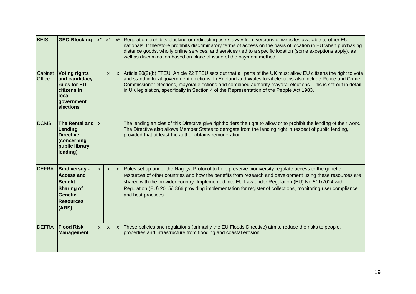| <b>BEIS</b>              | <b>GEO-Blocking</b>                                                                                                              | $x^*$        | $\mathsf{X}^\star$ | $x^*$ | Regulation prohibits blocking or redirecting users away from versions of websites available to other EU<br>nationals. It therefore prohibits discriminatory terms of access on the basis of location in EU when purchasing<br>distance goods, wholly online services, and services tied to a specific location (some exceptions apply), as<br>well as discrimination based on place of issue of the payment method.                                         |
|--------------------------|----------------------------------------------------------------------------------------------------------------------------------|--------------|--------------------|-------|-------------------------------------------------------------------------------------------------------------------------------------------------------------------------------------------------------------------------------------------------------------------------------------------------------------------------------------------------------------------------------------------------------------------------------------------------------------|
| Cabinet<br><b>Office</b> | <b>Voting rights</b><br>and candidacy<br>rules for EU<br>citizens in<br>local<br>government<br>elections                         |              | X                  |       | x Article 20(2)(b) TFEU, Article 22 TFEU sets out that all parts of the UK must allow EU citizens the right to vote<br>and stand in local government elections. In England and Wales local elections also include Police and Crime<br>Commissioner elections, mayoral elections and combined authority mayoral elections. This is set out in detail<br>in UK legislation, specifically in Section 4 of the Representation of the People Act 1983.           |
| <b>DCMS</b>              | The Rental and $\vert x \vert$<br>Lending<br><b>Directive</b><br>(concerning<br>public library<br>lending)                       |              |                    |       | The lending articles of this Directive give rightholders the right to allow or to prohibit the lending of their work.<br>The Directive also allows Member States to derogate from the lending right in respect of public lending,<br>provided that at least the author obtains remuneration.                                                                                                                                                                |
| <b>DEFRA</b>             | <b>Biodiversity -</b><br><b>Access and</b><br><b>Benefit</b><br><b>Sharing of</b><br><b>Genetic</b><br><b>Resources</b><br>(ABS) | X            | X                  |       | x Rules set up under the Nagoya Protocol to help preserve biodiversity regulate access to the genetic<br>resources of other countries and how the benefits from research and development using these resources are<br>shared with the provider country. Implemented into EU Law under Regulation (EU) No 511/2014 with<br>Regulation (EU) 2015/1866 providing implementation for register of collections, monitoring user compliance<br>and best practices. |
| <b>DEFRA</b>             | <b>Flood Risk</b><br><b>Management</b>                                                                                           | $\mathsf{x}$ | $\mathsf{x}$       |       | x These policies and regulations (primarily the EU Floods Directive) aim to reduce the risks to people,<br>properties and infrastructure from flooding and coastal erosion.                                                                                                                                                                                                                                                                                 |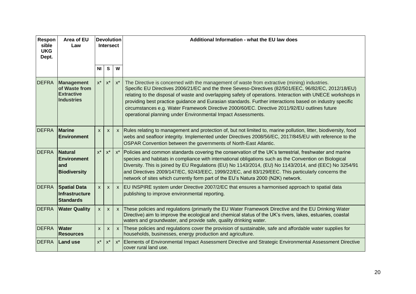| Respon<br>sible<br><b>UKG</b><br>Dept. | Area of EU<br>Law                                                            |                    | <b>Devolution</b><br>Intersect |       | Additional Information - what the EU law does                                                                                                                                                                                                                                                                                                                                                                                                                                                                                                                                                    |
|----------------------------------------|------------------------------------------------------------------------------|--------------------|--------------------------------|-------|--------------------------------------------------------------------------------------------------------------------------------------------------------------------------------------------------------------------------------------------------------------------------------------------------------------------------------------------------------------------------------------------------------------------------------------------------------------------------------------------------------------------------------------------------------------------------------------------------|
|                                        |                                                                              | N <sub>l</sub>     | $\mathbf{s}$                   | W     |                                                                                                                                                                                                                                                                                                                                                                                                                                                                                                                                                                                                  |
| <b>DEFRA</b>                           | <b>Management</b><br>of Waste from<br><b>Extractive</b><br><b>Industries</b> | $x^*$              | $\mathsf{X}^\star$             | $x^*$ | The Directive is concerned with the management of waste from extractive (mining) industries.<br>Specific EU Directives 2006/21/EC and the three Seveso-Directives (82/501/EEC, 96/82/EC, 2012/18/EU)<br>relating to the disposal of waste and overlapping safety of operations. Interaction with UNECE workshops in<br>providing best practice guidance and Eurasian standards. Further interactions based on industry specific<br>circumstances e.g. Water Framework Directive 2000/60/EC. Directive 2011/92/EU outlines future<br>operational planning under Environmental Impact Assessments. |
| <b>DEFRA</b>                           | <b>Marine</b><br><b>Environment</b>                                          | $\mathsf{x}$       | $\mathsf{x}$                   |       | x Rules relating to management and protection of, but not limited to, marine pollution, litter, biodiversity, food<br>webs and seafloor integrity. Implemented under Directives 2008/56/EC, 2017/845/EU with reference to the<br>OSPAR Convention between the governments of North-East Atlantic.                                                                                                                                                                                                                                                                                                |
| <b>DEFRA</b>                           | <b>Natural</b><br><b>Environment</b><br>and<br><b>Biodiversity</b>           | $x^*$              | $x^*$                          | $x^*$ | Policies and common standards covering the conservation of the UK's terrestrial, freshwater and marine<br>species and habitats in compliance with international obligations such as the Convention on Biological<br>Diversity. This is joined by EU Regulations (EU) No 1143/2014, (EU) No 1143/2014, and (EEC) No 3254/91<br>and Directives 2009/147/EC, 92/43/EEC, 1999/22/EC, and 83/129/EEC. This particularly concerns the<br>network of sites which currently form part of the EU's Natura 2000 (N2K) network.                                                                             |
| <b>DEFRA</b>                           | <b>Spatial Data</b><br><b>Infrastructure</b><br><b>Standards</b>             | $\mathsf{x}$       | X                              |       | x   EU INSPIRE system under Directive 2007/2/EC that ensures a harmonised approach to spatial data<br>publishing to improve environmental reporting.                                                                                                                                                                                                                                                                                                                                                                                                                                             |
| <b>DEFRA</b>                           | <b>Water Quality</b>                                                         | $\mathsf{X}$       | $\mathsf{x}$                   |       | x These policies and regulations (primarily the EU Water Framework Directive and the EU Drinking Water<br>Directive) aim to improve the ecological and chemical status of the UK's rivers, lakes, estuaries, coastal<br>waters and groundwater, and provide safe, quality drinking water.                                                                                                                                                                                                                                                                                                        |
| <b>DEFRA</b>                           | <b>Water</b><br><b>Resources</b>                                             | $\mathsf{x}$       | $\mathsf{x}$                   |       | $x$ These policies and regulations cover the provision of sustainable, safe and affordable water supplies for<br>households, businesses, energy production and agriculture.                                                                                                                                                                                                                                                                                                                                                                                                                      |
| <b>DEFRA</b>                           | <b>Land use</b>                                                              | $\mathsf{X}^\star$ | $\mathsf{X}^\star$             |       | x* Elements of Environmental Impact Assessment Directive and Strategic Environmental Assessment Directive<br>cover rural land use.                                                                                                                                                                                                                                                                                                                                                                                                                                                               |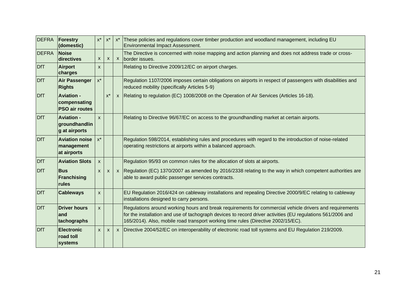| DEFRA        | Forestry<br>(domestic)                                     | $\mathsf{X}^\star$        | $x^*$                     | $x^*$ | These policies and regulations cover timber production and woodland management, including EU<br><b>Environmental Impact Assessment.</b>                                                                                                                                                                     |
|--------------|------------------------------------------------------------|---------------------------|---------------------------|-------|-------------------------------------------------------------------------------------------------------------------------------------------------------------------------------------------------------------------------------------------------------------------------------------------------------------|
| <b>DEFRA</b> | <b>Noise</b><br>directives                                 | $\mathsf{x}$              | $\boldsymbol{\mathsf{x}}$ |       | The Directive is concerned with noise mapping and action planning and does not address trade or cross-<br>x border issues.                                                                                                                                                                                  |
| <b>DfT</b>   | Airport<br>charges                                         | $\boldsymbol{\mathsf{x}}$ |                           |       | Relating to Directive 2009/12/EC on airport charges.                                                                                                                                                                                                                                                        |
| <b>DfT</b>   | <b>Air Passenger</b><br><b>Rights</b>                      | $\mathsf{X}^\star$        |                           |       | Regulation 1107/2006 imposes certain obligations on airports in respect of passengers with disabilities and<br>reduced mobility (specifically Articles 5-9)                                                                                                                                                 |
| <b>DfT</b>   | <b>Aviation -</b><br>compensating<br><b>PSO air routes</b> |                           | $x^*$                     |       | x Relating to regulation (EC) 1008/2008 on the Operation of Air Services (Articles 16-18).                                                                                                                                                                                                                  |
| <b>DfT</b>   | <b>Aviation -</b><br>groundhandlin<br>g at airports        | $\mathbf{x}$              |                           |       | Relating to Directive 96/67/EC on access to the groundhandling market at certain airports.                                                                                                                                                                                                                  |
| <b>DfT</b>   | <b>Aviation noise</b><br>management<br>at airports         | $x^*$                     |                           |       | Regulation 598/2014, establishing rules and procedures with regard to the introduction of noise-related<br>operating restrictions at airports within a balanced approach.                                                                                                                                   |
| <b>DfT</b>   | <b>Aviation Slots</b>                                      | $\mathsf{x}$              |                           |       | Regulation 95/93 on common rules for the allocation of slots at airports.                                                                                                                                                                                                                                   |
| <b>DfT</b>   | <b>Bus</b><br>Franchising<br>rules                         | $\mathsf{x}$              | $\boldsymbol{\mathsf{x}}$ |       | x Regulation (EC) 1370/2007 as amended by 2016/2338 relating to the way in which competent authorities are<br>able to award public passenger services contracts.                                                                                                                                            |
| <b>DfT</b>   | <b>Cableways</b>                                           | $\boldsymbol{\mathsf{X}}$ |                           |       | EU Regulation 2016/424 on cableway installations and repealing Directive 2000/9/EC relating to cableway<br>installations designed to carry persons.                                                                                                                                                         |
| <b>DfT</b>   | <b>Driver hours</b><br>land<br>tachographs                 | $\mathsf{x}$              |                           |       | Regulations around working hours and break requirements for commercial vehicle drivers and requirements<br>for the installation and use of tachograph devices to record driver activities (EU regulations 561/2006 and<br>165/2014). Also, mobile road transport working time rules (Directive 2002/15/EC). |
| <b>DfT</b>   | <b>Electronic</b><br><b>road toll</b><br>systems           | $\mathsf{x}$              | $\mathsf{x}$              |       | x   Directive 2004/52/EC on interoperability of electronic road toll systems and EU Regulation 219/2009.                                                                                                                                                                                                    |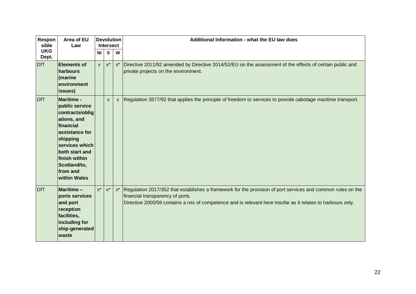| Respon<br>sible     | Area of EU<br>Law                                                                                                                                                                                                 | <b>Devolution</b><br><b>Intersect</b> |          |                    | Additional Information - what the EU law does                                                                                                                                                                                                                  |
|---------------------|-------------------------------------------------------------------------------------------------------------------------------------------------------------------------------------------------------------------|---------------------------------------|----------|--------------------|----------------------------------------------------------------------------------------------------------------------------------------------------------------------------------------------------------------------------------------------------------------|
| <b>UKG</b><br>Dept. |                                                                                                                                                                                                                   | NI I                                  | <b>S</b> | W                  |                                                                                                                                                                                                                                                                |
| DfT                 | <b>Elements of</b><br>harbours<br>(marine<br>environment<br>issues)                                                                                                                                               | $\mathsf{x}$                          | $x^*$    | $x^*$              | Directive 2011/92 amended by Directive 2014/52/EU on the assessment of the effects of certain public and<br>private projects on the environment.                                                                                                               |
| <b>DfT</b>          | <b>Maritime -</b><br>public service<br>contracts/oblig<br>ations, and<br>financial<br>assistance for<br>shipping<br>services which<br>both start and<br>finish within<br>Scotland/to,<br>from and<br>within Wales |                                       | X        |                    | x   Regulation 3577/92 that applies the principle of freedom to services to provide cabotage maritime transport.                                                                                                                                               |
| <b>DfT</b>          | <b>Maritime-</b><br>ports services<br>and port<br>reception<br>facilities,<br>including for<br>ship-generated<br>waste                                                                                            | $x^*$                                 | $x^*$    | $\mathsf{X}^\star$ | Regulation 2017/352 that establishes a framework for the provision of port services and common rules on the<br>financial transparency of ports.<br>Directive 2000/59 contains a mix of competence and is relevant here insofar as it relates to harbours only. |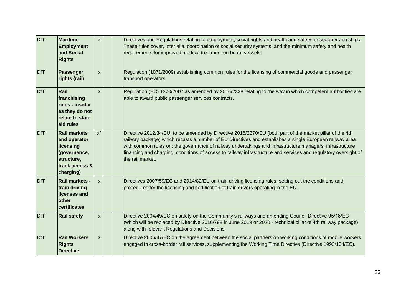| <b>DfT</b> | <b>Maritime</b><br><b>Employment</b><br>and Social<br><b>Rights</b>                                           | $\mathsf{x}$              | Directives and Regulations relating to employment, social rights and health and safety for seafarers on ships.<br>These rules cover, inter alia, coordination of social security systems, and the minimum safety and health<br>requirements for improved medical treatment on board vessels.                                                                                                                                                                           |
|------------|---------------------------------------------------------------------------------------------------------------|---------------------------|------------------------------------------------------------------------------------------------------------------------------------------------------------------------------------------------------------------------------------------------------------------------------------------------------------------------------------------------------------------------------------------------------------------------------------------------------------------------|
| DfT        | <b>Passenger</b><br>rights (rail)                                                                             | $\mathsf{x}$              | Regulation (1071/2009) establishing common rules for the licensing of commercial goods and passenger<br>transport operators.                                                                                                                                                                                                                                                                                                                                           |
| <b>DfT</b> | Rail<br>franchising<br>rules - insofar<br>as they do not<br>relate to state<br>aid rules                      | $\boldsymbol{\mathsf{X}}$ | Regulation (EC) 1370/2007 as amended by 2016/2338 relating to the way in which competent authorities are<br>able to award public passenger services contracts.                                                                                                                                                                                                                                                                                                         |
| <b>DfT</b> | <b>Rail markets</b><br>and operator<br>licensing<br>(governance,<br>structure,<br>track access &<br>charging) | $x^*$                     | Directive 2012/34/EU, to be amended by Directive 2016/2370/EU (both part of the market pillar of the 4th<br>railway package) which recasts a number of EU Directives and establishes a single European railway area<br>with common rules on: the governance of railway undertakings and infrastructure managers, infrastructure<br>financing and charging, conditions of access to railway infrastructure and services and regulatory oversight of<br>the rail market. |
| <b>DfT</b> | Rail markets -<br>train driving<br>licenses and<br>other<br>certificates                                      | $\mathsf{x}$              | Directives 2007/59/EC and 2014/82/EU on train driving licensing rules, setting out the conditions and<br>procedures for the licensing and certification of train drivers operating in the EU.                                                                                                                                                                                                                                                                          |
| <b>DfT</b> | <b>Rail safety</b>                                                                                            | $\boldsymbol{\mathsf{x}}$ | Directive 2004/49/EC on safety on the Community's railways and amending Council Directive 95/18/EC<br>(which will be replaced by Directive 2016/798 in June 2019 or 2020 - technical pillar of 4th railway package)<br>along with relevant Regulations and Decisions.                                                                                                                                                                                                  |
| DfT        | <b>Rail Workers</b><br><b>Rights</b><br><b>Directive</b>                                                      | $\mathsf{x}$              | Directive 2005/47/EC on the agreement between the social partners on working conditions of mobile workers<br>engaged in cross-border rail services, supplementing the Working Time Directive (Directive 1993/104/EC).                                                                                                                                                                                                                                                  |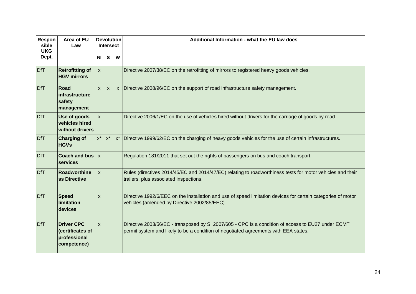| Respon<br>sible<br><b>UKG</b> | Area of EU<br>Law                                                    | <b>Devolution</b><br><b>Intersect</b> |                  |              | Additional Information - what the EU law does                                                                                                                                              |
|-------------------------------|----------------------------------------------------------------------|---------------------------------------|------------------|--------------|--------------------------------------------------------------------------------------------------------------------------------------------------------------------------------------------|
| Dept.                         |                                                                      | <b>NI</b>                             | <b>S</b>         | W            |                                                                                                                                                                                            |
| <b>DfT</b>                    | <b>Retrofitting of</b><br><b>HGV mirrors</b>                         | $\mathsf{x}$                          |                  |              | Directive 2007/38/EC on the retrofitting of mirrors to registered heavy goods vehicles.                                                                                                    |
| <b>DfT</b>                    | Road<br>infrastructure<br>safety<br>management                       | $\mathsf{x}$                          | $\boldsymbol{X}$ | $\mathsf{x}$ | Directive 2008/96/EC on the support of road infrastructure safety management.                                                                                                              |
| <b>DfT</b>                    | <b>Use of goods</b><br>vehicles hired<br>without drivers             | $\mathsf{x}$                          |                  |              | Directive 2006/1/EC on the use of vehicles hired without drivers for the carriage of goods by road.                                                                                        |
| <b>DfT</b>                    | <b>Charging of</b><br><b>HGVs</b>                                    | $\mathsf{X}^\star$                    | $x^*$            | $x^*$        | Directive 1999/62/EC on the charging of heavy goods vehicles for the use of certain infrastructures.                                                                                       |
| <b>DfT</b>                    | <b>Coach and bus</b><br>services                                     | $\mathsf{x}$                          |                  |              | Regulation 181/2011 that set out the rights of passengers on bus and coach transport.                                                                                                      |
| <b>DfT</b>                    | Roadworthine<br>ss Directive                                         | $\mathsf{x}$                          |                  |              | Rules (directives 2014/45/EC and 2014/47/EC) relating to roadworthiness tests for motor vehicles and their<br>trailers, plus associated inspections.                                       |
| <b>DfT</b>                    | <b>Speed</b><br>limitation<br>devices                                | $\mathsf{x}$                          |                  |              | Directive 1992/6/EEC on the installation and use of speed limitation devices for certain categories of motor<br>vehicles (amended by Directive 2002/85/EEC).                               |
| <b>DfT</b>                    | <b>Driver CPC</b><br>(certificates of<br>professional<br>competence) | $\mathsf{x}$                          |                  |              | Directive 2003/56/EC - transposed by SI 2007/605 - CPC is a condition of access to EU27 under ECMT<br>permit system and likely to be a condition of negotiated agreements with EEA states. |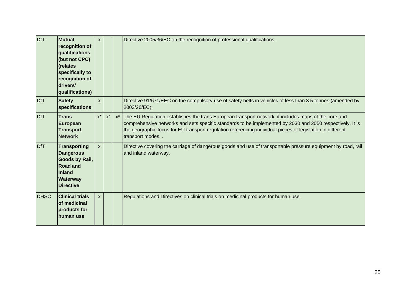| <b>DfT</b>  | <b>Mutual</b><br>recognition of<br>qualifications<br>(but not CPC)<br>(relates<br>specifically to<br>recognition of<br>drivers'<br>qualifications) | $\mathsf{x}$ |                    | Directive 2005/36/EC on the recognition of professional qualifications.                                                                                                                                                                                                                                                                               |
|-------------|----------------------------------------------------------------------------------------------------------------------------------------------------|--------------|--------------------|-------------------------------------------------------------------------------------------------------------------------------------------------------------------------------------------------------------------------------------------------------------------------------------------------------------------------------------------------------|
| <b>DfT</b>  | <b>Safety</b><br>specifications                                                                                                                    | $\mathsf{x}$ |                    | Directive 91/671/EEC on the compulsory use of safety belts in vehicles of less than 3.5 tonnes (amended by<br>2003/20/EC).                                                                                                                                                                                                                            |
| <b>DfT</b>  | <b>Trans</b><br><b>European</b><br><b>Transport</b><br><b>Network</b>                                                                              | $x^*$        | $\mathsf{X}^\star$ | x* The EU Regulation establishes the trans European transport network, it includes maps of the core and<br>comprehensive networks and sets specific standards to be implemented by 2030 and 2050 respectively. It is<br>the geographic focus for EU transport regulation referencing individual pieces of legislation in different<br>transport modes |
| <b>DfT</b>  | <b>Transporting</b><br><b>Dangerous</b><br>Goods by Rail,<br><b>Road and</b><br><b>Inland</b><br>Waterway<br><b>Directive</b>                      | $\mathsf{x}$ |                    | Directive covering the carriage of dangerous goods and use of transportable pressure equipment by road, rail<br>and inland waterway.                                                                                                                                                                                                                  |
| <b>DHSC</b> | <b>Clinical trials</b><br>of medicinal<br>products for<br>human use                                                                                | $\mathsf{x}$ |                    | Regulations and Directives on clinical trials on medicinal products for human use.                                                                                                                                                                                                                                                                    |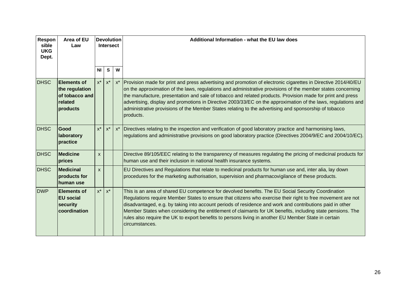| Respon<br>sible<br><b>UKG</b><br>Dept. | Area of EU<br>Law                                                             |                    | <b>Devolution</b><br><b>Intersect</b> |   | Additional Information - what the EU law does                                                                                                                                                                                                                                                                                                                                                                                                                                                                                                                                          |
|----------------------------------------|-------------------------------------------------------------------------------|--------------------|---------------------------------------|---|----------------------------------------------------------------------------------------------------------------------------------------------------------------------------------------------------------------------------------------------------------------------------------------------------------------------------------------------------------------------------------------------------------------------------------------------------------------------------------------------------------------------------------------------------------------------------------------|
|                                        |                                                                               | <b>NI</b>          | S                                     | W |                                                                                                                                                                                                                                                                                                                                                                                                                                                                                                                                                                                        |
| <b>DHSC</b>                            | <b>Elements of</b><br>the regulation<br>of tobacco and<br>related<br>products | $x^*$              | $\mathsf{X}^\star$                    |   | x*   Provision made for print and press advertising and promotion of electronic cigarettes in Directive 2014/40/EU<br>on the approximation of the laws, regulations and administrative provisions of the member states concerning<br>the manufacture, presentation and sale of tobacco and related products. Provision made for print and press<br>advertising, display and promotions in Directive 2003/33/EC on the approximation of the laws, regulations and<br>administrative provisions of the Member States relating to the advertising and sponsorship of tobacco<br>products. |
| <b>DHSC</b>                            | Good<br>laboratory<br>practice                                                | $x^*$              | $x^*$                                 |   | x* Directives relating to the inspection and verification of good laboratory practice and harmonising laws,<br>regulations and administrative provisions on good laboratory practice (Directives 2004/9/EC and 2004/10/EC).                                                                                                                                                                                                                                                                                                                                                            |
| <b>DHSC</b>                            | <b>Medicine</b><br>prices                                                     | X                  |                                       |   | Directive 89/105/EEC relating to the transparency of measures regulating the pricing of medicinal products for<br>human use and their inclusion in national health insurance systems.                                                                                                                                                                                                                                                                                                                                                                                                  |
| <b>DHSC</b>                            | <b>Medicinal</b><br>products for<br>human use                                 | X                  |                                       |   | EU Directives and Regulations that relate to medicinal products for human use and, inter alia, lay down<br>procedures for the marketing authorisation, supervision and pharmacovigilance of these products.                                                                                                                                                                                                                                                                                                                                                                            |
| <b>DWP</b>                             | <b>Elements of</b><br><b>EU</b> social<br>security<br>coordination            | $\mathsf{X}^\star$ | $x^*$                                 |   | This is an area of shared EU competence for devolved benefits. The EU Social Security Coordination<br>Regulations require Member States to ensure that citizens who exercise their right to free movement are not<br>disadvantaged, e.g. by taking into account periods of residence and work and contributions paid in other<br>Member States when considering the entitlement of claimants for UK benefits, including state pensions. The<br>rules also require the UK to export benefits to persons living in another EU Member State in certain<br>circumstances.                  |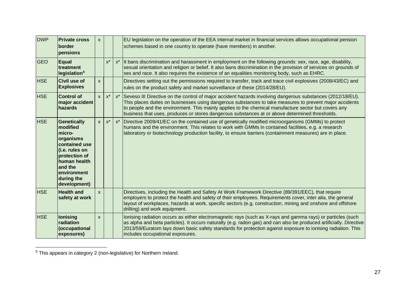| <b>DWP</b> | <b>Private cross</b><br>border<br>pensions                                                                                                                                        | $\mathsf{x}$ |                    |       | EU legislation on the operation of the EEA internal market in financial services allows occupational pension<br>schemes based in one country to operate (have members) in another.                                                                                                                                                                                                                                                 |
|------------|-----------------------------------------------------------------------------------------------------------------------------------------------------------------------------------|--------------|--------------------|-------|------------------------------------------------------------------------------------------------------------------------------------------------------------------------------------------------------------------------------------------------------------------------------------------------------------------------------------------------------------------------------------------------------------------------------------|
| <b>GEO</b> | <b>Equal</b><br>treatment<br>legislation <sup>5</sup>                                                                                                                             |              | $\mathsf{X}^\star$ |       | x* It bans discrimination and harassment in employment on the following grounds: sex, race, age, disability,<br>sexual orientation and religion or belief. It also bans discrimination in the provision of services on grounds of<br>sex and race. It also requires the existence of an equalities monitoring body, such as EHRC.                                                                                                  |
| <b>HSE</b> | <b>Civil use of</b><br><b>Explosives</b>                                                                                                                                          | $\mathsf{x}$ |                    |       | Directives setting out the permissions required to transfer, track and trace civil explosives (2008/43/EC) and<br>rules on the product safety and market surveillance of these (2014/28/EU).                                                                                                                                                                                                                                       |
| <b>HSE</b> | <b>Control of</b><br>major accident<br>hazards                                                                                                                                    | $\mathsf{x}$ | $x^*$              |       | x* Seveso III Directive on the control of major accident hazards involving dangerous substances (2012/18/EU).<br>This places duties on businesses using dangerous substances to take measures to prevent major accidents<br>to people and the environment. This mainly applies to the chemical manufacture sector but covers any<br>business that uses, produces or stores dangerous substances at or above determined thresholds. |
| <b>HSE</b> | <b>Genetically</b><br>modified<br>micro-<br>organisms<br>contained use<br>(i.e. rules on<br>protection of<br>human health<br>and the<br>environment<br>during the<br>development) | $\mathsf{x}$ | $x^*$              | $x^*$ | Directive 2009/41/EC on the contained use of genetically modified microorganisms (GMMs) to protect<br>humans and the environment. This relates to work with GMMs in contained facilities, e.g. a research<br>laboratory or biotechnology production facility, to ensure barriers (containment measures) are in place.                                                                                                              |
| <b>HSE</b> | <b>Health and</b><br>safety at work                                                                                                                                               | $\mathsf{x}$ |                    |       | Directives, including the Health and Safety At Work Framework Directive (89/391/EEC), that require<br>employers to protect the health and safety of their employees. Requirements cover, inter alia, the general<br>layout of workplaces, hazards at work, specific sectors (e.g. construction, mining and onshore and offshore<br>drilling) and work equipment.                                                                   |
| <b>HSE</b> | lonising<br>radiation<br>(occupational<br>exposures)                                                                                                                              | $\mathsf{x}$ |                    |       | lonising radiation occurs as either electromagnetic rays (such as X-rays and gamma rays) or particles (such<br>as alpha and beta particles). It occurs naturally (e.g. radon gas) and can also be produced artificially. Directive<br>2013/59/Euratom lays down basic safety standards for protection against exposure to ionising radiation. This<br>includes occupational exposures.                                             |

 $5$  This appears in category 2 (non-legislative) for Northern Ireland.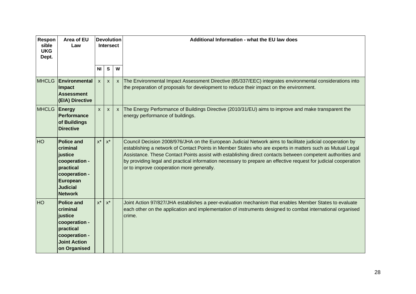| Respon<br>sible<br><b>UKG</b><br>Dept. | Area of EU<br>Law                                                                                                                        |                | <b>Devolution</b><br><b>Intersect</b> |   | Additional Information - what the EU law does                                                                                                                                                                                                                                                                                                                                                                                                                                                         |
|----------------------------------------|------------------------------------------------------------------------------------------------------------------------------------------|----------------|---------------------------------------|---|-------------------------------------------------------------------------------------------------------------------------------------------------------------------------------------------------------------------------------------------------------------------------------------------------------------------------------------------------------------------------------------------------------------------------------------------------------------------------------------------------------|
|                                        |                                                                                                                                          | N <sub>l</sub> | $\mathbf{s}$                          | W |                                                                                                                                                                                                                                                                                                                                                                                                                                                                                                       |
| <b>MHCLG</b>                           | Environmental<br>Impact<br><b>Assessment</b><br>(EIA) Directive                                                                          | $\mathsf{x}$   | $\mathsf{x}$                          |   | x   The Environmental Impact Assessment Directive (85/337/EEC) integrates environmental considerations into<br>the preparation of proposals for development to reduce their impact on the environment.                                                                                                                                                                                                                                                                                                |
| <b>MHCLG</b>                           | Energy<br>Performance<br>of Buildings<br><b>Directive</b>                                                                                | $\mathsf{x}$   | $\mathsf{x}$                          |   | x The Energy Performance of Buildings Directive (2010/31/EU) aims to improve and make transparent the<br>energy performance of buildings.                                                                                                                                                                                                                                                                                                                                                             |
| <b>HO</b>                              | <b>Police and</b><br>criminal<br>justice<br>cooperation -<br>practical<br>cooperation -<br>European<br><b>Judicial</b><br><b>Network</b> | $x^*$          | $\mathsf{X}^\star$                    |   | Council Decision 2008/976/JHA on the European Judicial Network aims to facilitate judicial cooperation by<br>establishing a network of Contact Points in Member States who are experts in matters such as Mutual Legal<br>Assistance. These Contact Points assist with establishing direct contacts between competent authorities and<br>by providing legal and practical information necessary to prepare an effective request for judicial cooperation<br>or to improve cooperation more generally. |
| <b>HO</b>                              | <b>Police and</b><br>criminal<br>justice<br>cooperation -<br>practical<br>cooperation -<br><b>Joint Action</b><br>on Organised           | $x^*$          | $\mathsf{X}^\star$                    |   | Joint Action 97/827/JHA establishes a peer-evaluation mechanism that enables Member States to evaluate<br>each other on the application and implementation of instruments designed to combat international organised<br>crime.                                                                                                                                                                                                                                                                        |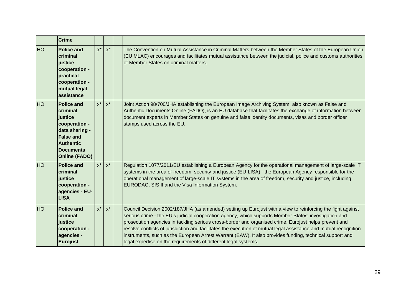|           | <b>Crime</b>                                                                                                                                                    |       |       |                                                                                                                                                                                                                                                                                                                                                                                                                                                                                                                                                                                                                                  |
|-----------|-----------------------------------------------------------------------------------------------------------------------------------------------------------------|-------|-------|----------------------------------------------------------------------------------------------------------------------------------------------------------------------------------------------------------------------------------------------------------------------------------------------------------------------------------------------------------------------------------------------------------------------------------------------------------------------------------------------------------------------------------------------------------------------------------------------------------------------------------|
| <b>HO</b> | <b>Police and</b><br>criminal<br>justice<br>cooperation -<br>practical<br>cooperation -<br>mutual legal<br>assistance                                           | $x^*$ | $x^*$ | The Convention on Mutual Assistance in Criminal Matters between the Member States of the European Union<br>(EU MLAC) encourages and facilitates mutual assistance between the judicial, police and customs authorities<br>of Member States on criminal matters.                                                                                                                                                                                                                                                                                                                                                                  |
| <b>HO</b> | <b>Police and</b><br>criminal<br>justice<br>cooperation -<br>data sharing -<br><b>False and</b><br><b>Authentic</b><br><b>Documents</b><br><b>Online (FADO)</b> | $x^*$ | $x^*$ | Joint Action 98/700/JHA establishing the European Image Archiving System, also known as False and<br>Authentic Documents Online (FADO), is an EU database that facilitates the exchange of information between<br>document experts in Member States on genuine and false identity documents, visas and border officer<br>stamps used across the EU.                                                                                                                                                                                                                                                                              |
| <b>HO</b> | <b>Police and</b><br>criminal<br>justice<br>cooperation -<br>agencies - EU-<br><b>LISA</b>                                                                      | $x^*$ | $x^*$ | Regulation 1077/2011/EU establishing a European Agency for the operational management of large-scale IT<br>systems in the area of freedom, security and justice (EU-LISA) - the European Agency responsible for the<br>operational management of large-scale IT systems in the area of freedom, security and justice, including<br>EURODAC, SIS II and the Visa Information System.                                                                                                                                                                                                                                              |
| <b>HO</b> | <b>Police and</b><br>criminal<br>justice<br>cooperation -<br>agencies -<br><b>Eurojust</b>                                                                      | $x^*$ | $x^*$ | Council Decision 2002/187/JHA (as amended) setting up Eurojust with a view to reinforcing the fight against<br>serious crime - the EU's judicial cooperation agency, which supports Member States' investigation and<br>prosecution agencies in tackling serious cross-border and organised crime. Eurojust helps prevent and<br>resolve conflicts of jurisdiction and facilitates the execution of mutual legal assistance and mutual recognition<br>instruments, such as the European Arrest Warrant (EAW). It also provides funding, technical support and<br>legal expertise on the requirements of different legal systems. |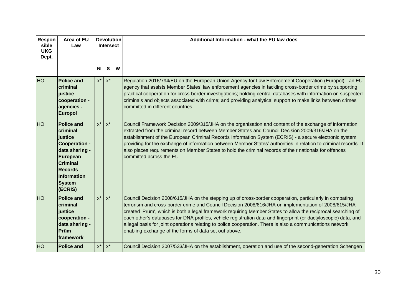| Respon<br>sible<br><b>UKG</b><br>Dept. | Area of EU<br>Law                                                                                                                                                              |                | <b>Devolution</b><br><b>Intersect</b> |   | Additional Information - what the EU law does                                                                                                                                                                                                                                                                                                                                                                                                                                                                                                                                                                            |
|----------------------------------------|--------------------------------------------------------------------------------------------------------------------------------------------------------------------------------|----------------|---------------------------------------|---|--------------------------------------------------------------------------------------------------------------------------------------------------------------------------------------------------------------------------------------------------------------------------------------------------------------------------------------------------------------------------------------------------------------------------------------------------------------------------------------------------------------------------------------------------------------------------------------------------------------------------|
|                                        |                                                                                                                                                                                | N <sub>1</sub> | $\mathbf{s}$                          | W |                                                                                                                                                                                                                                                                                                                                                                                                                                                                                                                                                                                                                          |
| HO                                     | <b>Police and</b><br>criminal<br>justice<br>cooperation -<br>agencies -<br><b>Europol</b>                                                                                      | $x^*$          | $x^*$                                 |   | Regulation 2016/794/EU on the European Union Agency for Law Enforcement Cooperation (Europol) - an EU<br>agency that assists Member States' law enforcement agencies in tackling cross-border crime by supporting<br>practical cooperation for cross-border investigations; holding central databases with information on suspected<br>criminals and objects associated with crime; and providing analytical support to make links between crimes<br>committed in different countries.                                                                                                                                   |
| HO                                     | <b>Police and</b><br>criminal<br>justice<br><b>Cooperation -</b><br>data sharing -<br>European<br><b>Criminal</b><br><b>Records</b><br>Information<br><b>System</b><br>(ECRIS) | $x^*$          | $x^*$                                 |   | Council Framework Decision 2009/315/JHA on the organisation and content of the exchange of information<br>extracted from the criminal record between Member States and Council Decision 2009/316/JHA on the<br>establishment of the European Criminal Records Information System (ECRIS) - a secure electronic system<br>providing for the exchange of information between Member States' authorities in relation to criminal records. It<br>also places requirements on Member States to hold the criminal records of their nationals for offences<br>committed across the EU.                                          |
| HO                                     | <b>Police and</b><br>criminal<br>justice<br>cooperation -<br>data sharing -<br>Prüm<br><b>Iframework</b>                                                                       | $x^*$          | $x^*$                                 |   | Council Decision 2008/615/JHA on the stepping up of cross-border cooperation, particularly in combating<br>terrorism and cross-border crime and Council Decision 2008/616/JHA on implementation of 2008/615/JHA<br>created 'Prüm', which is both a legal framework requiring Member States to allow the reciprocal searching of<br>each other's databases for DNA profiles, vehicle registration data and fingerprint (or dactyloscopic) data, and<br>a legal basis for joint operations relating to police cooperation. There is also a communications network<br>enabling exchange of the forms of data set out above. |
| <b>HO</b>                              | <b>Police and</b>                                                                                                                                                              | $x^*$          | $x^*$                                 |   | Council Decision 2007/533/JHA on the establishment, operation and use of the second-generation Schengen                                                                                                                                                                                                                                                                                                                                                                                                                                                                                                                  |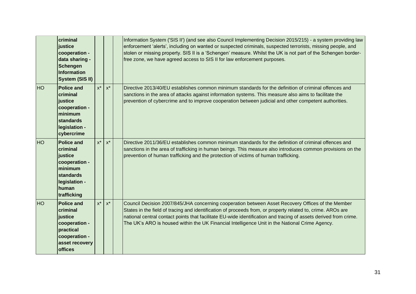|           | <b>criminal</b><br>justice<br>cooperation -<br>data sharing -<br>Schengen<br>Information<br>System (SIS II)                       |       |       | Information System ('SIS II') (and see also Council Implementing Decision 2015/215) - a system providing law<br>enforcement 'alerts', including on wanted or suspected criminals, suspected terrorists, missing people, and<br>stolen or missing property. SIS II is a 'Schengen' measure. Whilst the UK is not part of the Schengen border-<br>free zone, we have agreed access to SIS II for law enforcement purposes.               |
|-----------|-----------------------------------------------------------------------------------------------------------------------------------|-------|-------|----------------------------------------------------------------------------------------------------------------------------------------------------------------------------------------------------------------------------------------------------------------------------------------------------------------------------------------------------------------------------------------------------------------------------------------|
| <b>HO</b> | <b>Police and</b><br>criminal<br>justice<br>cooperation -<br>minimum<br>standards<br>legislation -<br>cybercrime                  | $x^*$ | $x^*$ | Directive 2013/40/EU establishes common minimum standards for the definition of criminal offences and<br>sanctions in the area of attacks against information systems. This measure also aims to facilitate the<br>prevention of cybercrime and to improve cooperation between judicial and other competent authorities.                                                                                                               |
| <b>HO</b> | <b>Police and</b><br>criminal<br>justice<br>cooperation -<br>minimum<br><b>standards</b><br>legislation -<br>human<br>trafficking | $x^*$ | $x^*$ | Directive 2011/36/EU establishes common minimum standards for the definition of criminal offences and<br>sanctions in the area of trafficking in human beings. This measure also introduces common provisions on the<br>prevention of human trafficking and the protection of victims of human trafficking.                                                                                                                            |
| <b>HO</b> | <b>Police and</b><br>criminal<br>justice<br>cooperation -<br>practical<br>cooperation -<br>asset recovery<br><b>offices</b>       | $x^*$ | $x^*$ | Council Decision 2007/845/JHA concerning cooperation between Asset Recovery Offices of the Member<br>States in the field of tracing and identification of proceeds from, or property related to, crime. AROs are<br>national central contact points that facilitate EU-wide identification and tracing of assets derived from crime.<br>The UK's ARO is housed within the UK Financial Intelligence Unit in the National Crime Agency. |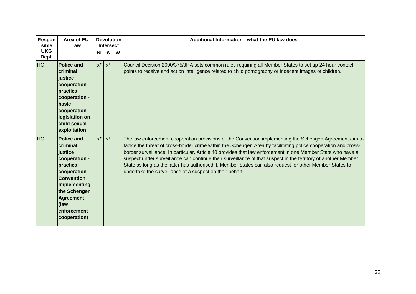| Respon<br>sible     | Area of EU<br>Law                                                                                                                                                                                       |           | <b>Devolution</b><br><b>Intersect</b> |   | Additional Information - what the EU law does                                                                                                                                                                                                                                                                                                                                                                                                                                                                                                                                                                                     |
|---------------------|---------------------------------------------------------------------------------------------------------------------------------------------------------------------------------------------------------|-----------|---------------------------------------|---|-----------------------------------------------------------------------------------------------------------------------------------------------------------------------------------------------------------------------------------------------------------------------------------------------------------------------------------------------------------------------------------------------------------------------------------------------------------------------------------------------------------------------------------------------------------------------------------------------------------------------------------|
| <b>UKG</b><br>Dept. |                                                                                                                                                                                                         | <b>NI</b> | S                                     | W |                                                                                                                                                                                                                                                                                                                                                                                                                                                                                                                                                                                                                                   |
| HO                  | <b>Police and</b><br>criminal<br>justice<br>cooperation -<br>practical<br>cooperation -<br>basic<br>cooperation<br>legislation on<br>child sexual<br>exploitation                                       | $x^*$     | $x^*$                                 |   | Council Decision 2000/375/JHA sets common rules requiring all Member States to set up 24 hour contact<br>points to receive and act on intelligence related to child pornography or indecent images of children.                                                                                                                                                                                                                                                                                                                                                                                                                   |
| <b>HO</b>           | <b>Police and</b><br>criminal<br>justice<br>cooperation -<br>practical<br>cooperation -<br><b>Convention</b><br>Implementing<br>the Schengen<br><b>Agreement</b><br>(law<br>enforcement<br>cooperation) | $x^*$     | $x^*$                                 |   | The law enforcement cooperation provisions of the Convention implementing the Schengen Agreement aim to<br>tackle the threat of cross-border crime within the Schengen Area by facilitating police cooperation and cross-<br>border surveillance. In particular, Article 40 provides that law enforcement in one Member State who have a<br>suspect under surveillance can continue their surveillance of that suspect in the territory of another Member<br>State as long as the latter has authorised it. Member States can also request for other Member States to<br>undertake the surveillance of a suspect on their behalf. |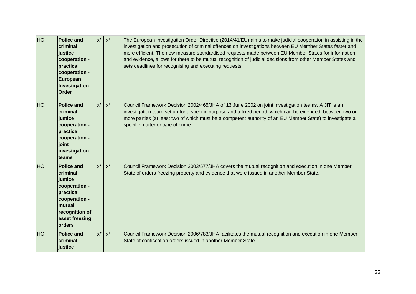| HO        | <b>Police and</b><br>criminal<br>justice<br>cooperation -<br>practical<br>cooperation -<br>European<br>Investigation<br><b>Order</b>            | $\mathsf{X}^\star$ | $\mathsf{X}^\star$ | The European Investigation Order Directive (2014/41/EU) aims to make judicial cooperation in assisting in the<br>investigation and prosecution of criminal offences on investigations between EU Member States faster and<br>more efficient. The new measure standardised requests made between EU Member States for information<br>and evidence, allows for there to be mutual recognition of judicial decisions from other Member States and<br>sets deadlines for recognising and executing requests. |
|-----------|-------------------------------------------------------------------------------------------------------------------------------------------------|--------------------|--------------------|----------------------------------------------------------------------------------------------------------------------------------------------------------------------------------------------------------------------------------------------------------------------------------------------------------------------------------------------------------------------------------------------------------------------------------------------------------------------------------------------------------|
| <b>HO</b> | <b>Police and</b><br>criminal<br>justice<br>cooperation -<br>practical<br>cooperation -<br>joint<br>investigation<br>teams                      | $x^*$              | $x^*$              | Council Framework Decision 2002/465/JHA of 13 June 2002 on joint investigation teams. A JIT is an<br>investigation team set up for a specific purpose and a fixed period, which can be extended, between two or<br>more parties (at least two of which must be a competent authority of an EU Member State) to investigate a<br>specific matter or type of crime.                                                                                                                                        |
| <b>HO</b> | <b>Police and</b><br>criminal<br>justice<br>cooperation -<br>practical<br>cooperation -<br>mutual<br>recognition of<br>asset freezing<br>orders | $x^*$              | $x^*$              | Council Framework Decision 2003/577/JHA covers the mutual recognition and execution in one Member<br>State of orders freezing property and evidence that were issued in another Member State.                                                                                                                                                                                                                                                                                                            |
| <b>HO</b> | <b>Police and</b><br>criminal<br>justice                                                                                                        | $x^*$              | $x^*$              | Council Framework Decision 2006/783/JHA facilitates the mutual recognition and execution in one Member<br>State of confiscation orders issued in another Member State.                                                                                                                                                                                                                                                                                                                                   |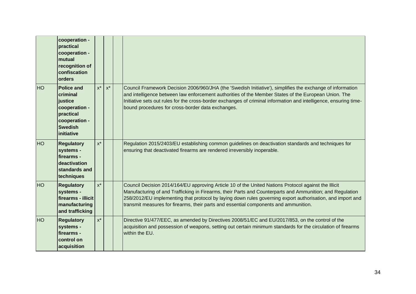|           | cooperation -<br>practical<br>cooperation -<br>mutual<br>recognition of<br>confiscation<br>orders                       |                    |       |                                                                                                                                                                                                                                                                                                                                                                                                                         |
|-----------|-------------------------------------------------------------------------------------------------------------------------|--------------------|-------|-------------------------------------------------------------------------------------------------------------------------------------------------------------------------------------------------------------------------------------------------------------------------------------------------------------------------------------------------------------------------------------------------------------------------|
| <b>HO</b> | <b>Police and</b><br>criminal<br>justice<br>cooperation -<br>practical<br>cooperation -<br><b>Swedish</b><br>initiative | $x^*$              | $x^*$ | Council Framework Decision 2006/960/JHA (the 'Swedish Initiative'), simplifies the exchange of information<br>and intelligence between law enforcement authorities of the Member States of the European Union. The<br>Initiative sets out rules for the cross-border exchanges of criminal information and intelligence, ensuring time-<br>bound procedures for cross-border data exchanges.                            |
| <b>HO</b> | <b>Regulatory</b><br>systems -<br>firearms -<br>deactivation<br>standards and<br>techniques                             | $x^*$              |       | Regulation 2015/2403/EU establishing common guidelines on deactivation standards and techniques for<br>ensuring that deactivated firearms are rendered irreversibly inoperable.                                                                                                                                                                                                                                         |
| <b>HO</b> | <b>Regulatory</b><br>systems -<br>firearms - illicit<br>manufacturing<br>and trafficking                                | $x^*$              |       | Council Decision 2014/164/EU approving Article 10 of the United Nations Protocol against the Illicit<br>Manufacturing of and Trafficking in Firearms, their Parts and Counterparts and Ammunition; and Regulation<br>258/2012/EU implementing that protocol by laying down rules governing export authorisation, and import and<br>transmit measures for firearms, their parts and essential components and ammunition. |
| HO        | <b>Regulatory</b><br>systems -<br>firearms -<br>control on<br>acquisition                                               | $\mathsf{X}^\star$ |       | Directive 91/477/EEC, as amended by Directives 2008/51/EC and EU/2017/853, on the control of the<br>acquisition and possession of weapons, setting out certain minimum standards for the circulation of firearms<br>within the EU.                                                                                                                                                                                      |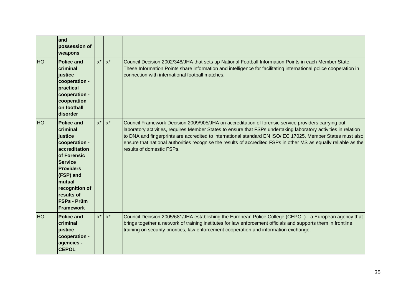|           | land<br>possession of<br>weapons                                                                                                                                                                                                 |       |       |                                                                                                                                                                                                                                                                                                                                                                                                                                                                                       |
|-----------|----------------------------------------------------------------------------------------------------------------------------------------------------------------------------------------------------------------------------------|-------|-------|---------------------------------------------------------------------------------------------------------------------------------------------------------------------------------------------------------------------------------------------------------------------------------------------------------------------------------------------------------------------------------------------------------------------------------------------------------------------------------------|
| <b>HO</b> | <b>Police and</b><br>criminal<br>justice<br>cooperation -<br>practical<br>cooperation -<br>cooperation<br>on football<br>disorder                                                                                                | $x^*$ | $x^*$ | Council Decision 2002/348/JHA that sets up National Football Information Points in each Member State.<br>These Information Points share information and intelligence for facilitating international police cooperation in<br>connection with international football matches.                                                                                                                                                                                                          |
| <b>HO</b> | <b>Police and</b><br>criminal<br>justice<br>cooperation -<br>accreditation<br>of Forensic<br><b>Service</b><br><b>Providers</b><br>(FSP) and<br>mutual<br>recognition of<br>results of<br><b>FSPs - Prüm</b><br><b>Framework</b> | $x^*$ | $x^*$ | Council Framework Decision 2009/905/JHA on accreditation of forensic service providers carrying out<br>laboratory activities, requires Member States to ensure that FSPs undertaking laboratory activities in relation<br>to DNA and fingerprints are accredited to international standard EN ISO/IEC 17025. Member States must also<br>ensure that national authorities recognise the results of accredited FSPs in other MS as equally reliable as the<br>results of domestic FSPs. |
| <b>HO</b> | <b>Police and</b><br>criminal<br>justice<br>cooperation -<br>agencies -<br><b>CEPOL</b>                                                                                                                                          | $x^*$ | $x^*$ | Council Decision 2005/681/JHA establishing the European Police College (CEPOL) - a European agency that<br>brings together a network of training institutes for law enforcement officials and supports them in frontline<br>training on security priorities, law enforcement cooperation and information exchange.                                                                                                                                                                    |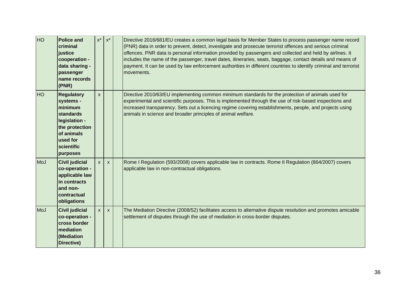| <b>HO</b> | <b>Police and</b><br>criminal<br>justice<br>cooperation -<br>data sharing -<br>passenger<br>name records<br>(PNR)                             | $\mathsf{X}^\star$ | $x^*$        | Directive 2016/681/EU creates a common legal basis for Member States to process passenger name record<br>(PNR) data in order to prevent, detect, investigate and prosecute terrorist offences and serious criminal<br>offences. PNR data is personal information provided by passengers and collected and held by airlines. It<br>includes the name of the passenger, travel dates, itineraries, seats, baggage, contact details and means of<br>payment. It can be used by law enforcement authorities in different countries to identify criminal and terrorist<br>movements. |
|-----------|-----------------------------------------------------------------------------------------------------------------------------------------------|--------------------|--------------|---------------------------------------------------------------------------------------------------------------------------------------------------------------------------------------------------------------------------------------------------------------------------------------------------------------------------------------------------------------------------------------------------------------------------------------------------------------------------------------------------------------------------------------------------------------------------------|
| <b>HO</b> | <b>Regulatory</b><br>systems -<br>minimum<br>standards<br>legislation -<br>the protection<br>of animals<br>used for<br>scientific<br>purposes | $\mathsf{x}$       |              | Directive 2010/63/EU implementing common minimum standards for the protection of animals used for<br>experimental and scientific purposes. This is implemented through the use of risk-based inspections and<br>increased transparency. Sets out a licencing regime covering establishments, people, and projects using<br>animals in science and broader principles of animal welfare.                                                                                                                                                                                         |
| MoJ       | <b>Civil judicial</b><br>co-operation -<br>applicable law<br>in contracts<br>and non-<br>contractual<br>obligations                           | $\mathsf{x}$       | $\mathsf{x}$ | Rome I Regulation (593/2008) covers applicable law in contracts. Rome II Regulation (864/2007) covers<br>applicable law in non-contractual obligations.                                                                                                                                                                                                                                                                                                                                                                                                                         |
| MoJ       | <b>Civil judicial</b><br>co-operation -<br>cross border<br>mediation<br>(Mediation<br>Directive)                                              | $\mathsf{x}$       | $\mathsf{x}$ | The Mediation Directive (2008/52) facilitates access to alternative dispute resolution and promotes amicable<br>settlement of disputes through the use of mediation in cross-border disputes.                                                                                                                                                                                                                                                                                                                                                                                   |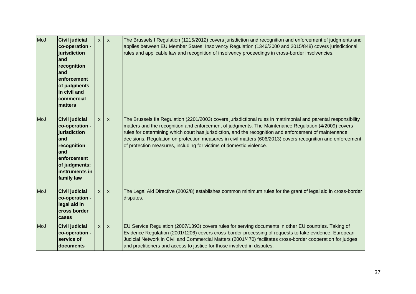| MoJ        | <b>Civil judicial</b><br>co-operation -<br>jurisdiction<br>and<br>recognition<br>and<br>enforcement<br>of judgments<br>in civil and<br>commercial<br>matters | $\mathsf{X}$ | $\mathsf{x}$ | The Brussels I Regulation (1215/2012) covers jurisdiction and recognition and enforcement of judgments and<br>applies between EU Member States. Insolvency Regulation (1346/2000 and 2015/848) covers jurisdictional<br>rules and applicable law and recognition of insolvency proceedings in cross-border insolvencies.                                                                                                                                                                                               |
|------------|--------------------------------------------------------------------------------------------------------------------------------------------------------------|--------------|--------------|------------------------------------------------------------------------------------------------------------------------------------------------------------------------------------------------------------------------------------------------------------------------------------------------------------------------------------------------------------------------------------------------------------------------------------------------------------------------------------------------------------------------|
| MoJ        | <b>Civil judicial</b><br>co-operation -<br>jurisdiction<br>and<br>recognition<br>and<br>enforcement<br>of judgments:<br>instruments in<br>family law         | $\mathsf{x}$ | X            | The Brussels IIa Regulation (2201/2003) covers jurisdictional rules in matrimonial and parental responsibility<br>matters and the recognition and enforcement of judgments. The Maintenance Regulation (4/2009) covers<br>rules for determining which court has jurisdiction, and the recognition and enforcement of maintenance<br>decisions. Regulation on protection measures in civil matters (606/2013) covers recognition and enforcement<br>of protection measures, including for victims of domestic violence. |
| <b>MoJ</b> | <b>Civil judicial</b><br>co-operation -<br>legal aid in<br>cross border<br>cases                                                                             | $\mathsf{x}$ | X            | The Legal Aid Directive (2002/8) establishes common minimum rules for the grant of legal aid in cross-border<br>disputes.                                                                                                                                                                                                                                                                                                                                                                                              |
| MoJ        | <b>Civil judicial</b><br>co-operation -<br>service of<br>documents                                                                                           | $\mathsf{x}$ | $\mathsf{x}$ | EU Service Regulation (2007/1393) covers rules for serving documents in other EU countries. Taking of<br>Evidence Regulation (2001/1206) covers cross-border processing of requests to take evidence. European<br>Judicial Network in Civil and Commercial Matters (2001/470) facilitates cross-border cooperation for judges<br>and practitioners and access to justice for those involved in disputes.                                                                                                               |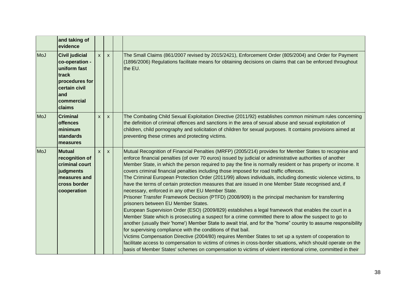|     | and taking of<br>evidence                                                                                                           |              |                           |                                                                                                                                                                                                                                                                                                                                                                                                                                                                                                                                                                                                                                                                                                                                                                                                                                                                                                                                                                                                                                                                                                                                                                                                                                                                                                                                                                                                                                                                                                                                                                                                          |
|-----|-------------------------------------------------------------------------------------------------------------------------------------|--------------|---------------------------|----------------------------------------------------------------------------------------------------------------------------------------------------------------------------------------------------------------------------------------------------------------------------------------------------------------------------------------------------------------------------------------------------------------------------------------------------------------------------------------------------------------------------------------------------------------------------------------------------------------------------------------------------------------------------------------------------------------------------------------------------------------------------------------------------------------------------------------------------------------------------------------------------------------------------------------------------------------------------------------------------------------------------------------------------------------------------------------------------------------------------------------------------------------------------------------------------------------------------------------------------------------------------------------------------------------------------------------------------------------------------------------------------------------------------------------------------------------------------------------------------------------------------------------------------------------------------------------------------------|
| MoJ | <b>Civil judicial</b><br>co-operation -<br>uniform fast<br>track<br>procedures for<br>certain civil<br>land<br>commercial<br>claims | $\mathsf{x}$ | $\boldsymbol{\mathsf{x}}$ | The Small Claims (861/2007 revised by 2015/2421), Enforcement Order (805/2004) and Order for Payment<br>(1896/2006) Regulations facilitate means for obtaining decisions on claims that can be enforced throughout<br>the EU.                                                                                                                                                                                                                                                                                                                                                                                                                                                                                                                                                                                                                                                                                                                                                                                                                                                                                                                                                                                                                                                                                                                                                                                                                                                                                                                                                                            |
| MoJ | <b>Criminal</b><br><b>offences</b><br>minimum<br>standards<br><b>measures</b>                                                       | $\mathsf{x}$ | $\mathsf{x}$              | The Combating Child Sexual Exploitation Directive (2011/92) establishes common minimum rules concerning<br>the definition of criminal offences and sanctions in the area of sexual abuse and sexual exploitation of<br>children, child pornography and solicitation of children for sexual purposes. It contains provisions aimed at<br>preventing these crimes and protecting victims.                                                                                                                                                                                                                                                                                                                                                                                                                                                                                                                                                                                                                                                                                                                                                                                                                                                                                                                                                                                                                                                                                                                                                                                                                  |
| MoJ | <b>Mutual</b><br>recognition of<br>criminal court<br>judgments<br>measures and<br><b>cross border</b><br>cooperation                | $\mathsf{x}$ | X                         | Mutual Recognition of Financial Penalties (MRFP) (2005/214) provides for Member States to recognise and<br>enforce financial penalties (of over 70 euros) issued by judicial or administrative authorities of another<br>Member State, in which the person required to pay the fine is normally resident or has property or income. It<br>covers criminal financial penalties including those imposed for road traffic offences.<br>The Criminal European Protection Order (2011/99) allows individuals, including domestic violence victims, to<br>have the terms of certain protection measures that are issued in one Member State recognised and, if<br>necessary, enforced in any other EU Member State.<br>Prisoner Transfer Framework Decision (PTFD) (2008/909) is the principal mechanism for transferring<br>prisoners between EU Member States.<br>European Supervision Order (ESO) (2009/829) establishes a legal framework that enables the court in a<br>Member State which is prosecuting a suspect for a crime committed there to allow the suspect to go to<br>another (usually their 'home') Member State to await trial, and for the "home" country to assume responsibility<br>for supervising compliance with the conditions of that bail.<br>Victims Compensation Directive (2004/80) requires Member States to set up a system of cooperation to<br>facilitate access to compensation to victims of crimes in cross-border situations, which should operate on the<br>basis of Member States' schemes on compensation to victims of violent intentional crime, committed in their |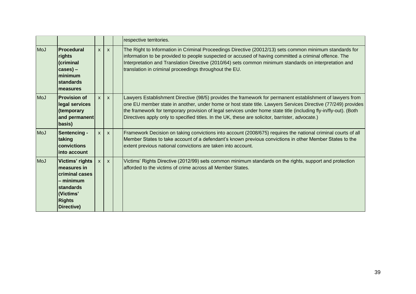|            |                                                                                                                                        |                           |              | respective territories.                                                                                                                                                                                                                                                                                                                                                                                                                           |
|------------|----------------------------------------------------------------------------------------------------------------------------------------|---------------------------|--------------|---------------------------------------------------------------------------------------------------------------------------------------------------------------------------------------------------------------------------------------------------------------------------------------------------------------------------------------------------------------------------------------------------------------------------------------------------|
| <b>MoJ</b> | <b>Procedural</b><br>rights<br>(criminal<br>$cases) -$<br>minimum<br><b>standards</b><br>measures                                      | $\boldsymbol{\mathsf{x}}$ | $\mathsf{x}$ | The Right to Information in Criminal Proceedings Directive (20012/13) sets common minimum standards for<br>information to be provided to people suspected or accused of having committed a criminal offence. The<br>Interpretation and Translation Directive (2010/64) sets common minimum standards on interpretation and<br>translation in criminal proceedings throughout the EU.                                                              |
| MoJ        | <b>Provision of</b><br>legal services<br>(temporary<br>and permanent<br>basis)                                                         | $\mathsf{x}$              | $\mathsf{x}$ | Lawyers Establishment Directive (98/5) provides the framework for permanent establishment of lawyers from<br>one EU member state in another, under home or host state title. Lawyers Services Directive (77/249) provides<br>the framework for temporary provision of legal services under home state title (including fly-in/fly-out). (Both<br>Directives apply only to specified titles. In the UK, these are solicitor, barrister, advocate.) |
| <b>MoJ</b> | <b>Sentencing -</b><br>taking<br>convictions<br>into account                                                                           | $\mathsf{x}$              | $\mathsf{x}$ | Framework Decision on taking convictions into account (2008/675) requires the national criminal courts of all<br>Member States to take account of a defendant's known previous convictions in other Member States to the<br>extent previous national convictions are taken into account.                                                                                                                                                          |
| <b>MoJ</b> | Victims' rights<br>measures in<br><b>criminal cases</b><br>$-$ minimum<br><b>standards</b><br>(Victims'<br><b>Rights</b><br>Directive) | X                         | $\mathsf{x}$ | Victims' Rights Directive (2012/99) sets common minimum standards on the rights, support and protection<br>afforded to the victims of crime across all Member States.                                                                                                                                                                                                                                                                             |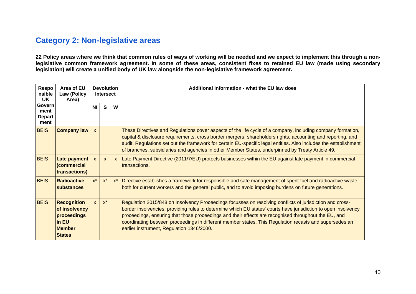### <span id="page-39-0"></span>**Category 2: Non-legislative areas**

**22 Policy areas where we think that common rules of ways of working will be needed and we expect to implement this through a nonlegislative common framework agreement. In some of these areas, consistent fixes to retained EU law (made using secondary legislation) will create a unified body of UK law alongside the non-legislative framework agreement.**

| <b>Respo</b><br>nsible<br><b>UK</b>     | Area of EU<br>Law (Policy<br>Area)                                                            | <b>Devolution</b><br><b>Intersect</b> |                    |       | Additional Information - what the EU law does                                                                                                                                                                                                                                                                                                                                                                                                                                             |
|-----------------------------------------|-----------------------------------------------------------------------------------------------|---------------------------------------|--------------------|-------|-------------------------------------------------------------------------------------------------------------------------------------------------------------------------------------------------------------------------------------------------------------------------------------------------------------------------------------------------------------------------------------------------------------------------------------------------------------------------------------------|
| Govern<br>ment<br><b>Depart</b><br>ment |                                                                                               | N <sub>l</sub>                        | S                  | W     |                                                                                                                                                                                                                                                                                                                                                                                                                                                                                           |
| <b>BEIS</b>                             | <b>Company law</b>                                                                            | $\mathsf{x}$                          |                    |       | These Directives and Regulations cover aspects of the life cycle of a company, including company formation,<br>capital & disclosure requirements, cross border mergers, shareholders rights, accounting and reporting, and<br>audit. Regulations set out the framework for certain EU-specific legal entities. Also includes the establishment<br>of branches, subsidiaries and agencies in other Member States, underpinned by Treaty Article 49.                                        |
| <b>BEIS</b>                             | Late payment<br>(commercial<br>transactions)                                                  | $\mathsf{x}$                          | $\mathsf{x}$       |       | x   Late Payment Directive (2011/7/EU) protects businesses within the EU against late payment in commercial<br>transactions.                                                                                                                                                                                                                                                                                                                                                              |
| <b>BEIS</b>                             | <b>Radioactive</b><br>substances                                                              | $x^*$                                 | $\mathsf{X}^\star$ | $x^*$ | Directive establishes a framework for responsible and safe management of spent fuel and radioactive waste,<br>both for current workers and the general public, and to avoid imposing burdens on future generations.                                                                                                                                                                                                                                                                       |
| <b>BEIS</b>                             | <b>Recognition</b><br>of insolvency<br>proceedings<br>in EU<br><b>Member</b><br><b>States</b> | $\mathbf{x}$                          | $x^*$              |       | Regulation 2015/848 on Insolvency Proceedings focusses on resolving conflicts of jurisdiction and cross-<br>border insolvencies, providing rules to determine which EU states' courts have jurisdiction to open insolvency<br>proceedings, ensuring that those proceedings and their effects are recognised throughout the EU, and<br>coordinating between proceedings in different member states. This Regulation recasts and supersedes an<br>earlier instrument, Regulation 1346/2000. |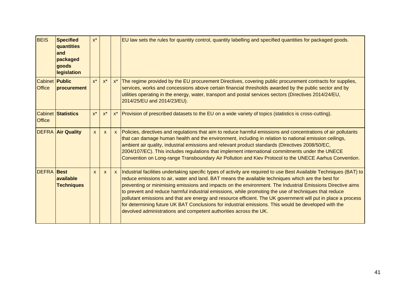| <b>BEIS</b>                            | <b>Specified</b><br>quantities<br>and<br>packaged<br>goods<br><b>legislation</b> | $x^*$        |              |              | EU law sets the rules for quantity control, quantity labelling and specified quantities for packaged goods.                                                                                                                                                                                                                                                                                                                                                                                                                                                                                                                                                                                                                                    |
|----------------------------------------|----------------------------------------------------------------------------------|--------------|--------------|--------------|------------------------------------------------------------------------------------------------------------------------------------------------------------------------------------------------------------------------------------------------------------------------------------------------------------------------------------------------------------------------------------------------------------------------------------------------------------------------------------------------------------------------------------------------------------------------------------------------------------------------------------------------------------------------------------------------------------------------------------------------|
| <b>Cabinet Public</b><br><b>Office</b> | procurement                                                                      | $x^*$        | $x^*$        | $x^*$        | The regime provided by the EU procurement Directives, covering public procurement contracts for supplies,<br>services, works and concessions above certain financial thresholds awarded by the public sector and by<br>utilities operating in the energy, water, transport and postal services sectors (Directives 2014/24/EU,<br>2014/25/EU and 2014/23/EU).                                                                                                                                                                                                                                                                                                                                                                                  |
| <b>Office</b>                          | <b>Cabinet Statistics</b>                                                        | $x^*$        | $x^*$        | $x^*$        | Provision of prescribed datasets to the EU on a wide variety of topics (statistics is cross-cutting).                                                                                                                                                                                                                                                                                                                                                                                                                                                                                                                                                                                                                                          |
|                                        | <b>DEFRA Air Quality</b>                                                         | $\mathsf{x}$ | $\mathsf{x}$ | $\mathbf{x}$ | Policies, directives and regulations that aim to reduce harmful emissions and concentrations of air pollutants<br>that can damage human health and the environment, including in relation to national emission ceilings,<br>ambient air quality, industrial emissions and relevant product standards (Directives 2008/50/EC,<br>2004/107/EC). This includes regulations that implement international commitments under the UNECE<br>Convention on Long-range Transboundary Air Pollution and Kiev Protocol to the UNECE Aarhus Convention.                                                                                                                                                                                                     |
| <b>DEFRA Best</b>                      | available<br><b>Techniques</b>                                                   | $\mathsf{x}$ | $\mathsf{x}$ | $\mathsf{x}$ | Industrial facilities undertaking specific types of activity are required to use Best Available Techniques (BAT) to<br>reduce emissions to air, water and land. BAT means the available techniques which are the best for<br>preventing or minimising emissions and impacts on the environment. The Industrial Emissions Directive aims<br>to prevent and reduce harmful industrial emissions, while promoting the use of techniques that reduce<br>pollutant emissions and that are energy and resource efficient. The UK government will put in place a process<br>for determining future UK BAT Conclusions for industrial emissions. This would be developed with the<br>devolved administrations and competent authorities across the UK. |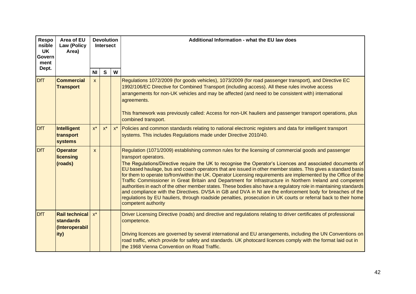| Respo<br>nsible<br><b>UK</b><br>Govern<br>ment | Area of EU<br><b>Law (Policy</b><br>Area)                  |              | <b>Devolution</b><br>Intersect |       | Additional Information - what the EU law does                                                                                                                                                                                                                                                                                                                                                                                                                                                                                                                                                                                                                                                                                                                                                                                                                                                                                                                          |
|------------------------------------------------|------------------------------------------------------------|--------------|--------------------------------|-------|------------------------------------------------------------------------------------------------------------------------------------------------------------------------------------------------------------------------------------------------------------------------------------------------------------------------------------------------------------------------------------------------------------------------------------------------------------------------------------------------------------------------------------------------------------------------------------------------------------------------------------------------------------------------------------------------------------------------------------------------------------------------------------------------------------------------------------------------------------------------------------------------------------------------------------------------------------------------|
| Dept.                                          |                                                            | <b>NI</b>    | $\mathbf s$                    | W     |                                                                                                                                                                                                                                                                                                                                                                                                                                                                                                                                                                                                                                                                                                                                                                                                                                                                                                                                                                        |
| <b>DfT</b>                                     | <b>Commercial</b><br><b>Transport</b>                      | $\mathsf{x}$ |                                |       | Regulations 1072/2009 (for goods vehicles), 1073/2009 (for road passenger transport), and Directive EC<br>1992/106/EC Directive for Combined Transport (including access). All these rules involve access<br>arrangements for non-UK vehicles and may be affected (and need to be consistent with) international<br>agreements.<br>This framework was previously called: Access for non-UK hauliers and passenger transport operations, plus<br>combined transport.                                                                                                                                                                                                                                                                                                                                                                                                                                                                                                    |
| <b>DfT</b>                                     | Intelligent<br>transport<br><b>systems</b>                 | $x^*$        | $\mathsf{X}^\star$             | $x^*$ | Policies and common standards relating to national electronic registers and data for intelligent transport<br>systems. This includes Regulations made under Directive 2010/40.                                                                                                                                                                                                                                                                                                                                                                                                                                                                                                                                                                                                                                                                                                                                                                                         |
| <b>DfT</b>                                     | <b>Operator</b><br>licensing<br>(roads)                    | $\mathbf{x}$ |                                |       | Regulation (1071/2009) establishing common rules for the licensing of commercial goods and passenger<br>transport operators.<br>The Regulations/Directive require the UK to recognise the Operator's Licences and associated documents of<br>EU based haulage, bus and coach operators that are issued in other member states. This gives a standard basis<br>for them to operate to/from/within the UK. Operator Licensing requirements are implemented by the Office of the<br>Traffic Commissioner in Great Britain and Department for Infrastructure in Northern Ireland and competent<br>authorities in each of the other member states. These bodies also have a regulatory role in maintaining standards<br>and compliance with the Directives. DVSA in GB and DVA in NI are the enforcement body for breaches of the<br>regulations by EU hauliers, through roadside penalties, prosecution in UK courts or referral back to their home<br>competent authority |
| <b>DfT</b>                                     | Rail technical   x*<br>standards<br>(Interoperabil<br>ity) |              |                                |       | Driver Licensing Directive (roads) and directive and regulations relating to driver certificates of professional<br>competence.<br>Driving licences are governed by several international and EU arrangements, including the UN Conventions on<br>road traffic, which provide for safety and standards. UK photocard licences comply with the format laid out in<br>the 1968 Vienna Convention on Road Traffic.                                                                                                                                                                                                                                                                                                                                                                                                                                                                                                                                                        |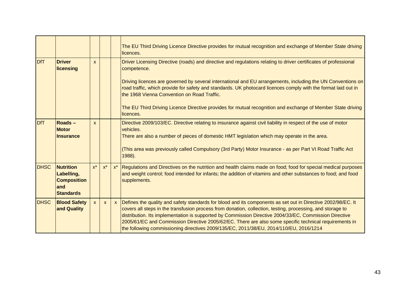|             |                                                                                 |              |              |              | The EU Third Driving Licence Directive provides for mutual recognition and exchange of Member State driving<br>licences.                                                                                                                                                                                                                                                                                                                                                                                                                 |
|-------------|---------------------------------------------------------------------------------|--------------|--------------|--------------|------------------------------------------------------------------------------------------------------------------------------------------------------------------------------------------------------------------------------------------------------------------------------------------------------------------------------------------------------------------------------------------------------------------------------------------------------------------------------------------------------------------------------------------|
| <b>DfT</b>  | <b>Driver</b><br>licensing                                                      | $\mathbf{x}$ |              |              | Driver Licensing Directive (roads) and directive and regulations relating to driver certificates of professional<br>competence.                                                                                                                                                                                                                                                                                                                                                                                                          |
|             |                                                                                 |              |              |              | Driving licences are governed by several international and EU arrangements, including the UN Conventions on<br>road traffic, which provide for safety and standards. UK photocard licences comply with the format laid out in<br>the 1968 Vienna Convention on Road Traffic.                                                                                                                                                                                                                                                             |
|             |                                                                                 |              |              |              | The EU Third Driving Licence Directive provides for mutual recognition and exchange of Member State driving<br>licences.                                                                                                                                                                                                                                                                                                                                                                                                                 |
| <b>DfT</b>  | <b>Roads-</b><br><b>Motor</b><br><b>Insurance</b>                               | $\mathbf{x}$ |              |              | Directive 2009/103/EC. Directive relating to insurance against civil liability in respect of the use of motor<br>vehicles.<br>There are also a number of pieces of domestic HMT legislation which may operate in the area.                                                                                                                                                                                                                                                                                                               |
|             |                                                                                 |              |              |              | (This area was previously called Compulsory (3rd Party) Motor Insurance - as per Part VI Road Traffic Act<br>1988).                                                                                                                                                                                                                                                                                                                                                                                                                      |
| <b>DHSC</b> | <b>Nutrition</b><br>Labelling,<br><b>Composition</b><br>and<br><b>Standards</b> | $x^*$        | $x^*$        | $x^*$        | Regulations and Directives on the nutrition and health claims made on food; food for special medical purposes<br>and weight control; food intended for infants; the addition of vitamins and other substances to food; and food<br>supplements.                                                                                                                                                                                                                                                                                          |
| <b>DHSC</b> | <b>Blood Safety</b><br>and Quality                                              | $\mathsf{x}$ | $\mathsf{X}$ | $\mathsf{x}$ | Defines the quality and safety standards for blood and its components as set out in Directive 2002/98/EC. It<br>covers all steps in the transfusion process from donation, collection, testing, processing, and storage to<br>distribution. Its implementation is supported by Commission Directive 2004/33/EC, Commission Directive<br>2005/61/EC and Commission Directive 2005/62/EC. There are also some specific technical requirements in<br>the following commissioning directives 2009/135/EC, 2011/38/EU, 2014/110/EU, 2016/1214 |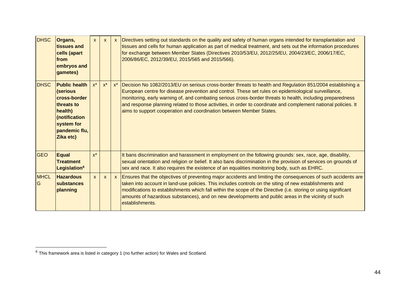| <b>DHSC</b>       | Organs,<br>tissues and<br>cells (apart<br>from<br>embryos and<br>gametes)                                                              | $\mathsf{x}$ | $\boldsymbol{\mathsf{x}}$ | $\mathsf{x}$ | Directives setting out standards on the quality and safety of human organs intended for transplantation and<br>tissues and cells for human application as part of medical treatment, and sets out the information procedures<br>for exchange between Member States (Directives 2010/53/EU, 2012/25/EU, 2004/23/EC, 2006/17/EC,<br>2006/86/EC, 2012/39/EU, 2015/565 and 2015/566).                                                                                                                                        |
|-------------------|----------------------------------------------------------------------------------------------------------------------------------------|--------------|---------------------------|--------------|--------------------------------------------------------------------------------------------------------------------------------------------------------------------------------------------------------------------------------------------------------------------------------------------------------------------------------------------------------------------------------------------------------------------------------------------------------------------------------------------------------------------------|
| <b>DHSC</b>       | <b>Public health</b><br>(serious<br>cross-border<br>threats to<br>health)<br>(notification<br>system for<br>pandemic flu,<br>Zika etc) | $x^*$        | $x^*$                     | $x^*$        | Decision No 1082/2013/EU on serious cross-border threats to health and Regulation 851/2004 establishing a<br>European centre for disease prevention and control. These set rules on epidemiological surveillance,<br>monitoring, early warning of, and combating serious cross-border threats to health, including preparedness<br>and response planning related to those activities, in order to coordinate and complement national policies. It<br>aims to support cooperation and coordination between Member States. |
| <b>GEO</b>        | <b>Equal</b><br><b>Treatment</b><br>Legislation <sup>6</sup>                                                                           | $x^*$        |                           |              | It bans discrimination and harassment in employment on the following grounds: sex, race, age, disability,<br>sexual orientation and religion or belief. It also bans discrimination in the provision of services on grounds of<br>sex and race. It also requires the existence of an equalities monitoring body, such as EHRC.                                                                                                                                                                                           |
| <b>MHCL</b><br>IG | <b>Hazardous</b><br>substances<br>planning                                                                                             | $\mathsf{x}$ | $\mathsf{x}$              | $\mathsf{x}$ | Ensures that the objectives of preventing major accidents and limiting the consequences of such accidents are<br>taken into account in land-use policies. This includes controls on the siting of new establishments and<br>modifications to establishments which fall within the scope of the Directive (i.e. storing or using significant<br>amounts of hazardous substances), and on new developments and public areas in the vicinity of such<br>establishments.                                                     |

 $6$  This framework area is listed in category 1 (no further action) for Wales and Scotland.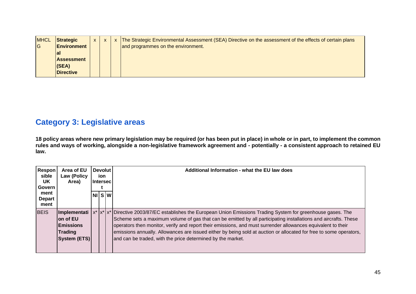| <b>MHCL</b> | <b>Strategic</b>   |  | The Strategic Environmental Assessment (SEA) Directive on the assessment of the effects of certain plans |
|-------------|--------------------|--|----------------------------------------------------------------------------------------------------------|
| G           | <b>Environment</b> |  | and programmes on the environment.                                                                       |
|             | lal                |  |                                                                                                          |
|             | <b>Assessment</b>  |  |                                                                                                          |
|             | (SEA)              |  |                                                                                                          |
|             | <b>Directive</b>   |  |                                                                                                          |

### <span id="page-44-0"></span>**Category 3: Legislative areas**

**18 policy areas where new primary legislation may be required (or has been put in place) in whole or in part, to implement the common rules and ways of working, alongside a non-legislative framework agreement and - potentially - a consistent approach to retained EU law.**

| <b>Respon</b><br>sible<br>UK.<br>Govern | Area of EU<br><b>Law (Policy</b><br>Area)                                      | <b>Devolut</b><br>ion.<br>l Intersec l |  | Additional Information - what the EU law does                                                                                                                                                                                                                                                                                                                                                                                                                                                                                              |
|-----------------------------------------|--------------------------------------------------------------------------------|----------------------------------------|--|--------------------------------------------------------------------------------------------------------------------------------------------------------------------------------------------------------------------------------------------------------------------------------------------------------------------------------------------------------------------------------------------------------------------------------------------------------------------------------------------------------------------------------------------|
| ment<br><b>Depart</b><br>ment           |                                                                                | NIS[W]                                 |  |                                                                                                                                                                                                                                                                                                                                                                                                                                                                                                                                            |
| <b>BEIS</b>                             | Implementati<br>on of EU<br><b>Emissions</b><br><b>Trading</b><br>System (ETS) |                                        |  | x*  x*  x*  Directive 2003/87/EC establishes the European Union Emissions Trading System for greenhouse gases. The<br>Scheme sets a maximum volume of gas that can be emitted by all participating installations and aircrafts. These<br>operators then monitor, verify and report their emissions, and must surrender allowances equivalent to their<br>emissions annually. Allowances are issued either by being sold at auction or allocated for free to some operators,<br>and can be traded, with the price determined by the market. |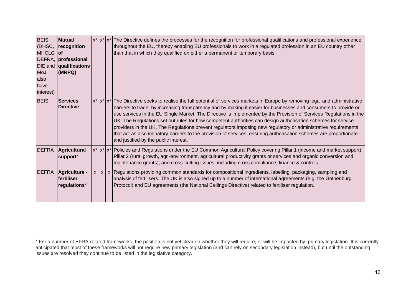| <b>BEIS</b><br>MHCLG of<br>MoJ<br>lalso<br>have<br>interest) | <b>Mutual</b><br>(DHSC, recognition<br>DEFRA, professional<br>DfE and qualifications<br>(MRPQ) |  | $x^*$  x <sup>*</sup>  x <sup>*</sup>  The Directive defines the processes for the recognition for professional qualifications and professional experience<br>throughout the EU, thereby enabling EU professionals to work in a regulated profession in an EU country other<br>than that in which they qualified on either a permanent or temporary basis.                                                                                                                                                                                                                                                                                                                                                                                                                        |
|--------------------------------------------------------------|------------------------------------------------------------------------------------------------|--|-----------------------------------------------------------------------------------------------------------------------------------------------------------------------------------------------------------------------------------------------------------------------------------------------------------------------------------------------------------------------------------------------------------------------------------------------------------------------------------------------------------------------------------------------------------------------------------------------------------------------------------------------------------------------------------------------------------------------------------------------------------------------------------|
| <b>BEIS</b>                                                  | <b>Services</b><br><b>Directive</b>                                                            |  | $x^*$ $x^*$ $x^*$ The Directive seeks to realise the full potential of services markets in Europe by removing legal and administrative<br>barriers to trade, by increasing transparency and by making it easier for businesses and consumers to provide or<br>use services in the EU Single Market. The Directive is implemented by the Provision of Services Regulations in the<br>UK. The Regulations set out rules for how competent authorities can design authorisation schemes for service<br>providers in the UK. The Regulations prevent regulators imposing new regulatory or administrative requirements<br>that act as discriminatory barriers to the provision of services, ensuring authorisation schemes are proportionate<br>and justified by the public interest. |
| <b>DEFRA</b>                                                 | Agricultural<br>support <sup>7</sup>                                                           |  | x*  x*  x*  Policies and Regulations under the EU Common Agricultural Policy covering Pillar 1 (income and market support);<br>Pillar 2 (rural growth, agri-environment, agricultural productivity grants or services and organic conversion and<br>maintenance grants); and cross-cutting issues, including cross compliance, finance & controls.                                                                                                                                                                                                                                                                                                                                                                                                                                |
| <b>DEFRA</b>                                                 | Agriculture -<br>fertiliser<br>regulations <sup>7</sup>                                        |  | $x \mid x \mid x$ Regulations providing common standards for compositional ingredients, labelling, packaging, sampling and<br>analysis of fertilisers. The UK is also signed up to a number of international agreements (e.g. the Gothenburg<br>Protocol) and EU agreements (the National Ceilings Directive) related to fertiliser regulation.                                                                                                                                                                                                                                                                                                                                                                                                                                   |

<sup>&</sup>lt;sup>7</sup> For a number of EFRA-related frameworks, the position is not yet clear on whether they will require, or will be impacted by, primary legislation. It is currently anticipated that most of these frameworks will not require new primary legislation (and can rely on secondary legislation instead), but until the outstanding issues are resolved they continue to be listed in the legislative category.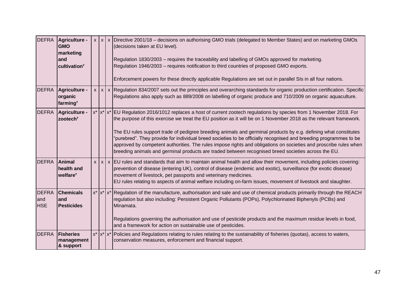|                                   | DEFRA Agriculture -<br><b>GMO</b><br>marketing<br>and<br>cultivation <sup>7</sup> |                   | $x   x   x$ Directive 2001/18 – decisions on authorising GMO trials (delegated to Member States) and on marketing GMOs<br>(decisions taken at EU level).<br>Regulation 1830/2003 - requires the traceability and labelling of GMOs approved for marketing.<br>Regulation 1946/2003 - requires notification to third countries of proposed GMO exports.<br>Enforcement powers for these directly applicable Regulations are set out in parallel SIs in all four nations.                                                                                                                                                                                                                                         |
|-----------------------------------|-----------------------------------------------------------------------------------|-------------------|-----------------------------------------------------------------------------------------------------------------------------------------------------------------------------------------------------------------------------------------------------------------------------------------------------------------------------------------------------------------------------------------------------------------------------------------------------------------------------------------------------------------------------------------------------------------------------------------------------------------------------------------------------------------------------------------------------------------|
| <b>DEFRA</b>                      | Agriculture -<br>organic<br>farming <sup>7</sup>                                  |                   | $x   x   x$ Regulation 834/2007 sets out the principles and overarching standards for organic production certification. Specific<br>Regulations also apply such as 889/2008 on labelling of organic produce and 710/2009 on organic aquaculture.                                                                                                                                                                                                                                                                                                                                                                                                                                                                |
| <b>DEFRA</b>                      | Agriculture -<br>zootech <sup>7</sup>                                             |                   | x*  x*  x*  EU Regulation 2016/1012 replaces a host of current zootech regulations by species from 1 November 2018. For<br>the purpose of this exercise we treat the EU position as it will be on 1 November 2018 as the relevant framework.<br>The EU rules support trade of pedigree breeding animals and germinal products by e.g. defining what constitutes<br>"purebred". They provide for individual breed societies to be officially recognised and breeding programmes to be<br>approved by competent authorities. The rules impose rights and obligations on societies and proscribe rules when<br>breeding animals and germinal products are traded between recognised breed societies across the EU. |
| <b>DEFRA</b>                      | Animal<br>health and<br>welfare <sup>7</sup>                                      |                   | $x   x   x$ EU rules and standards that aim to maintain animal health and allow their movement, including policies covering:<br>prevention of disease (entering UK), control of disease (endemic and exotic), surveillance (for exotic disease)<br>movement of livestock, pet passports and veterinary medicines.<br>EU rules relating to aspects of animal welfare including on-farm issues, movement of livestock and slaughter.                                                                                                                                                                                                                                                                              |
| <b>DEFRA</b><br>and<br><b>HSE</b> | <b>Chemicals</b><br>land<br><b>Pesticides</b>                                     |                   | x*  x*  x*  Regulation of the manufacture, authorisation and sale and use of chemical products primarily through the REACH<br>regulation but also including: Persistent Organic Pollutants (POPs), Polychlorinated Biphenyls (PCBs) and<br>Minamata.<br>Regulations governing the authorisation and use of pesticide products and the maximum residue levels in food,<br>and a framework for action on sustainable use of pesticides.                                                                                                                                                                                                                                                                           |
| <b>DEFRA</b>                      | <b>Fisheries</b><br>management<br>& support                                       | $x^*$ $x^*$ $x^*$ | Policies and Regulations relating to rules relating to the sustainability of fisheries (quotas), access to waters,<br>conservation measures, enforcement and financial support.                                                                                                                                                                                                                                                                                                                                                                                                                                                                                                                                 |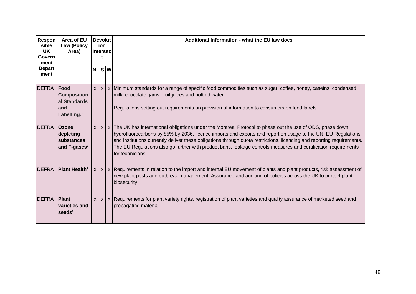| Respon<br>sible<br><b>UK</b><br>Govern<br>ment<br><b>Depart</b><br>ment | Area of EU<br><b>Law (Policy</b><br>Area)                                    | <b>Devolut</b><br>ion<br><b>Intersec</b> |       |  | Additional Information - what the EU law does                                                                                                                                                                                                                                                                                                                                                                                                                                                        |  |  |
|-------------------------------------------------------------------------|------------------------------------------------------------------------------|------------------------------------------|-------|--|------------------------------------------------------------------------------------------------------------------------------------------------------------------------------------------------------------------------------------------------------------------------------------------------------------------------------------------------------------------------------------------------------------------------------------------------------------------------------------------------------|--|--|
|                                                                         |                                                                              |                                          | NISW  |  |                                                                                                                                                                                                                                                                                                                                                                                                                                                                                                      |  |  |
| <b>DEFRA</b>                                                            | Food<br><b>Composition</b><br>al Standards<br>and<br>Labelling. <sup>7</sup> |                                          | x   x |  | x Minimum standards for a range of specific food commodities such as sugar, coffee, honey, caseins, condensed<br>milk, chocolate, jams, fruit juices and bottled water.<br>Regulations setting out requirements on provision of information to consumers on food labels.                                                                                                                                                                                                                             |  |  |
| <b>DEFRA</b>                                                            | <b>Ozone</b><br>depleting<br>substances<br>and F-gases <sup>7</sup>          |                                          |       |  | x   x   x   The UK has international obligations under the Montreal Protocol to phase out the use of ODS, phase down<br>hydrofluorocarbons by 85% by 2036, licence imports and exports and report on usage to the UN. EU Regulations<br>and institutions currently deliver these obligations through quota restrictions, licencing and reporting requirements.<br>The EU Regulations also go further with product bans, leakage controls measures and certification requirements<br>for technicians. |  |  |
| <b>DEFRA</b>                                                            | <b>Plant Health<sup>7</sup></b>                                              |                                          |       |  | $x   x   x$ Requirements in relation to the import and internal EU movement of plants and plant products, risk assessment of<br>new plant pests and outbreak management. Assurance and auditing of policies across the UK to protect plant<br>biosecurity.                                                                                                                                                                                                                                           |  |  |
| <b>DEFRA</b>                                                            | Plant<br>varieties and<br>seeds <sup>7</sup>                                 |                                          |       |  | x   x   x   Requirements for plant variety rights, registration of plant varieties and quality assurance of marketed seed and<br>propagating material.                                                                                                                                                                                                                                                                                                                                               |  |  |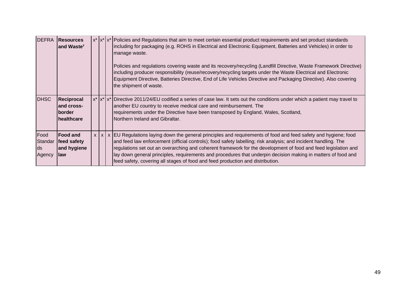| <b>DEFRA</b>                     | <b>Resources</b><br>and Waste <sup>7</sup>                        |  | $x^*$  x <sup>*</sup>  x <sup>*</sup>  Policies and Regulations that aim to meet certain essential product requirements and set product standards<br>including for packaging (e.g. ROHS in Electrical and Electronic Equipment, Batteries and Vehicles) in order to<br>manage waste.<br>Policies and regulations covering waste and its recovery/recycling (Landfill Directive, Waste Framework Directive)<br>including producer responsibility (reuse/recovery/recycling targets under the Waste Electrical and Electronic<br>Equipment Directive, Batteries Directive, End of Life Vehicles Directive and Packaging Directive). Also covering<br>the shipment of waste. |
|----------------------------------|-------------------------------------------------------------------|--|---------------------------------------------------------------------------------------------------------------------------------------------------------------------------------------------------------------------------------------------------------------------------------------------------------------------------------------------------------------------------------------------------------------------------------------------------------------------------------------------------------------------------------------------------------------------------------------------------------------------------------------------------------------------------|
| <b>DHSC</b>                      | Reciprocal<br>land cross-<br><b>Iborder</b><br><b>Ihealthcare</b> |  | $x^*$  x <sup>*</sup>  x <sup>*</sup>  Directive 2011/24/EU codified a series of case law. It sets out the conditions under which a patient may travel to<br>another EU country to receive medical care and reimbursement. The<br>requirements under the Directive have been transposed by England, Wales, Scotland,<br>Northern Ireland and Gibraltar.                                                                                                                                                                                                                                                                                                                   |
| Food<br>Standar<br>lds<br>Agency | <b>IFood and</b><br>feed safety<br>and hygiene<br>law             |  | $x   x   x$ EU Regulations laying down the general principles and requirements of food and feed safety and hygiene; food<br>and feed law enforcement (official controls); food safety labelling; risk analysis; and incident handling. The<br>regulations set out an overarching and coherent framework for the development of food and feed legislation and<br>lay down general principles, requirements and procedures that underpin decision making in matters of food and<br>feed safety, covering all stages of food and feed production and distribution.                                                                                                           |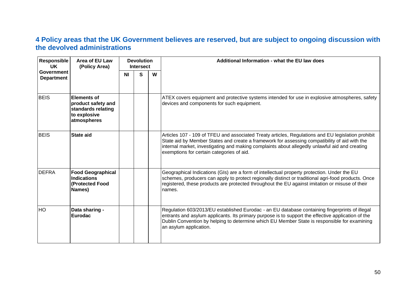### **4 Policy areas that the UK Government believes are reserved, but are subject to ongoing discussion with the devolved administrations**

| <b>Responsible</b><br><b>UK</b>        | Area of EU Law<br>(Policy Area)                                                               |           | <b>Devolution</b><br><b>Intersect</b> |   | Additional Information - what the EU law does                                                                                                                                                                                                                                                                                                      |
|----------------------------------------|-----------------------------------------------------------------------------------------------|-----------|---------------------------------------|---|----------------------------------------------------------------------------------------------------------------------------------------------------------------------------------------------------------------------------------------------------------------------------------------------------------------------------------------------------|
| <b>Government</b><br><b>Department</b> |                                                                                               | <b>NI</b> | S                                     | W |                                                                                                                                                                                                                                                                                                                                                    |
| <b>BEIS</b>                            | <b>Elements of</b><br>product safety and<br>standards relating<br>to explosive<br>atmospheres |           |                                       |   | ATEX covers equipment and protective systems intended for use in explosive atmospheres, safety<br>devices and components for such equipment.                                                                                                                                                                                                       |
| <b>BEIS</b>                            | <b>State aid</b>                                                                              |           |                                       |   | Articles 107 - 109 of TFEU and associated Treaty articles, Regulations and EU legislation prohibit<br>State aid by Member States and create a framework for assessing compatibility of aid with the<br>internal market, investigating and making complaints about allegedly unlawful aid and creating<br>exemptions for certain categories of aid. |
| <b>DEFRA</b>                           | <b>Food Geographical</b><br><b>Indications</b><br>(Protected Food<br>Names)                   |           |                                       |   | Geographical Indications (GIs) are a form of intellectual property protection. Under the EU<br>schemes, producers can apply to protect regionally distinct or traditional agri-food products. Once<br>registered, these products are protected throughout the EU against imitation or misuse of their<br>names.                                    |
| <b>HO</b>                              | Data sharing -<br><b>Eurodac</b>                                                              |           |                                       |   | Regulation 603/2013/EU established Eurodac - an EU database containing fingerprints of illegal<br>entrants and asylum applicants. Its primary purpose is to support the effective application of the<br>Dublin Convention by helping to determine which EU Member State is responsible for examining<br>an asylum application.                     |